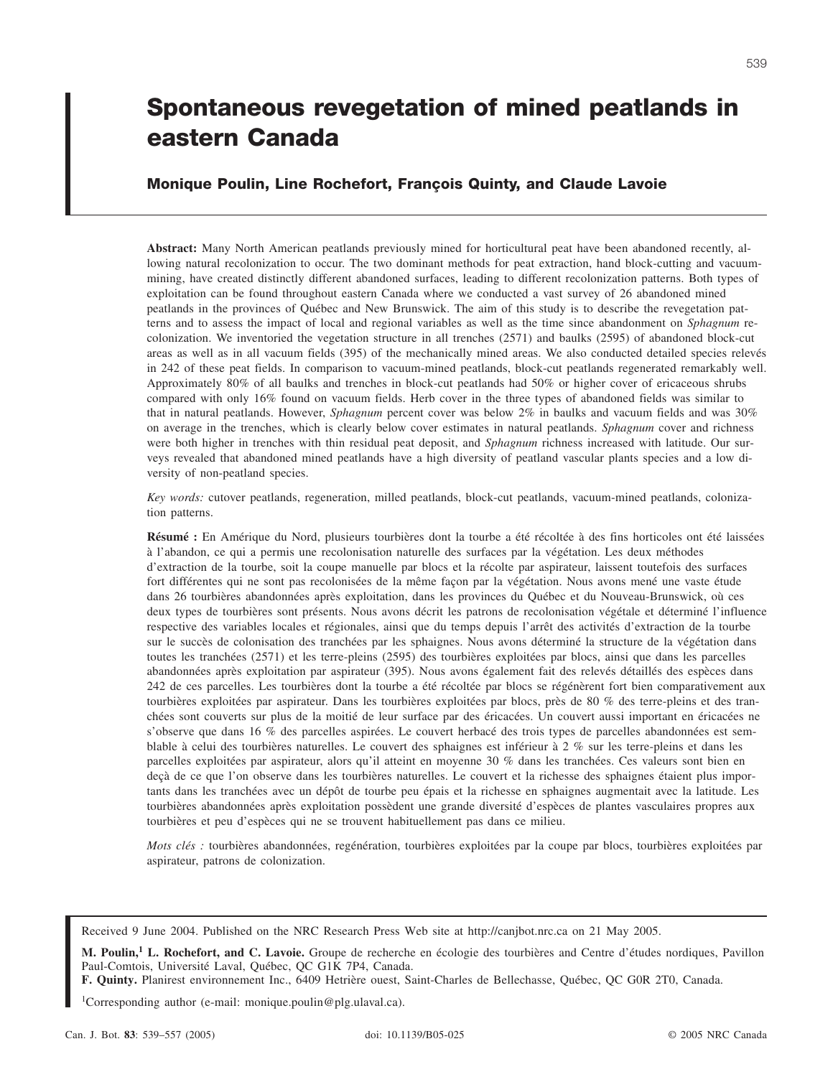Received 9 June 2004. Published on the NRC Research Press Web site at http://canjbot.nrc.ca on 21 May 2005.

1 Corresponding author (e-mail: monique.poulin@plg.ulaval.ca).

# **Spontaneous revegetation of mined peatlands in eastern Canada**

## **Monique Poulin, Line Rochefort, François Quinty, and Claude Lavoie**

**Abstract:** Many North American peatlands previously mined for horticultural peat have been abandoned recently, allowing natural recolonization to occur. The two dominant methods for peat extraction, hand block-cutting and vacuummining, have created distinctly different abandoned surfaces, leading to different recolonization patterns. Both types of exploitation can be found throughout eastern Canada where we conducted a vast survey of 26 abandoned mined peatlands in the provinces of Québec and New Brunswick. The aim of this study is to describe the revegetation patterns and to assess the impact of local and regional variables as well as the time since abandonment on *Sphagnum* recolonization. We inventoried the vegetation structure in all trenches (2571) and baulks (2595) of abandoned block-cut areas as well as in all vacuum fields (395) of the mechanically mined areas. We also conducted detailed species relevés in 242 of these peat fields. In comparison to vacuum-mined peatlands, block-cut peatlands regenerated remarkably well. Approximately 80% of all baulks and trenches in block-cut peatlands had 50% or higher cover of ericaceous shrubs compared with only 16% found on vacuum fields. Herb cover in the three types of abandoned fields was similar to that in natural peatlands. However, *Sphagnum* percent cover was below 2% in baulks and vacuum fields and was 30% on average in the trenches, which is clearly below cover estimates in natural peatlands. *Sphagnum* cover and richness were both higher in trenches with thin residual peat deposit, and *Sphagnum* richness increased with latitude. Our surveys revealed that abandoned mined peatlands have a high diversity of peatland vascular plants species and a low diversity of non-peatland species.

*Key words:* cutover peatlands, regeneration, milled peatlands, block-cut peatlands, vacuum-mined peatlands, colonization patterns.

**Résumé :** En Amérique du Nord, plusieurs tourbières dont la tourbe a été récoltée à des fins horticoles ont été laissées à l'abandon, ce qui a permis une recolonisation naturelle des surfaces par la végétation. Les deux méthodes d'extraction de la tourbe, soit la coupe manuelle par blocs et la récolte par aspirateur, laissent toutefois des surfaces fort différentes qui ne sont pas recolonisées de la même façon par la végétation. Nous avons mené une vaste étude dans 26 tourbières abandonnées après exploitation, dans les provinces du Québec et du Nouveau-Brunswick, où ces deux types de tourbières sont présents. Nous avons décrit les patrons de recolonisation végétale et déterminé l'influence respective des variables locales et régionales, ainsi que du temps depuis l'arrêt des activités d'extraction de la tourbe sur le succès de colonisation des tranchées par les sphaignes. Nous avons déterminé la structure de la végétation dans toutes les tranchées (2571) et les terre-pleins (2595) des tourbières exploitées par blocs, ainsi que dans les parcelles abandonnées après exploitation par aspirateur (395). Nous avons également fait des relevés détaillés des espèces dans 242 de ces parcelles. Les tourbières dont la tourbe a été récoltée par blocs se régénèrent fort bien comparativement aux tourbières exploitées par aspirateur. Dans les tourbières exploitées par blocs, près de 80 % des terre-pleins et des tranchées sont couverts sur plus de la moitié de leur surface par des éricacées. Un couvert aussi important en éricacées ne s'observe que dans 16 % des parcelles aspirées. Le couvert herbacé des trois types de parcelles abandonnées est semblable à celui des tourbières naturelles. Le couvert des sphaignes est inférieur à 2 % sur les terre-pleins et dans les parcelles exploitées par aspirateur, alors qu'il atteint en moyenne 30 % dans les tranchées. Ces valeurs sont bien en deçà de ce que l'on observe dans les tourbières naturelles. Le couvert et la richesse des sphaignes étaient plus importants dans les tranchées avec un dépôt de tourbe peu épais et la richesse en sphaignes augmentait avec la latitude. Les tourbières abandonnées après exploitation possèdent une grande diversité d'espèces de plantes vasculaires propres aux tourbières et peu d'espèces qui ne se trouvent habituellement pas dans ce milieu.

*Mots clés :* tourbières abandonnées, regénération, tourbières exploitées par la coupe par blocs, tourbières exploitées par aspirateur, patrons de colonization.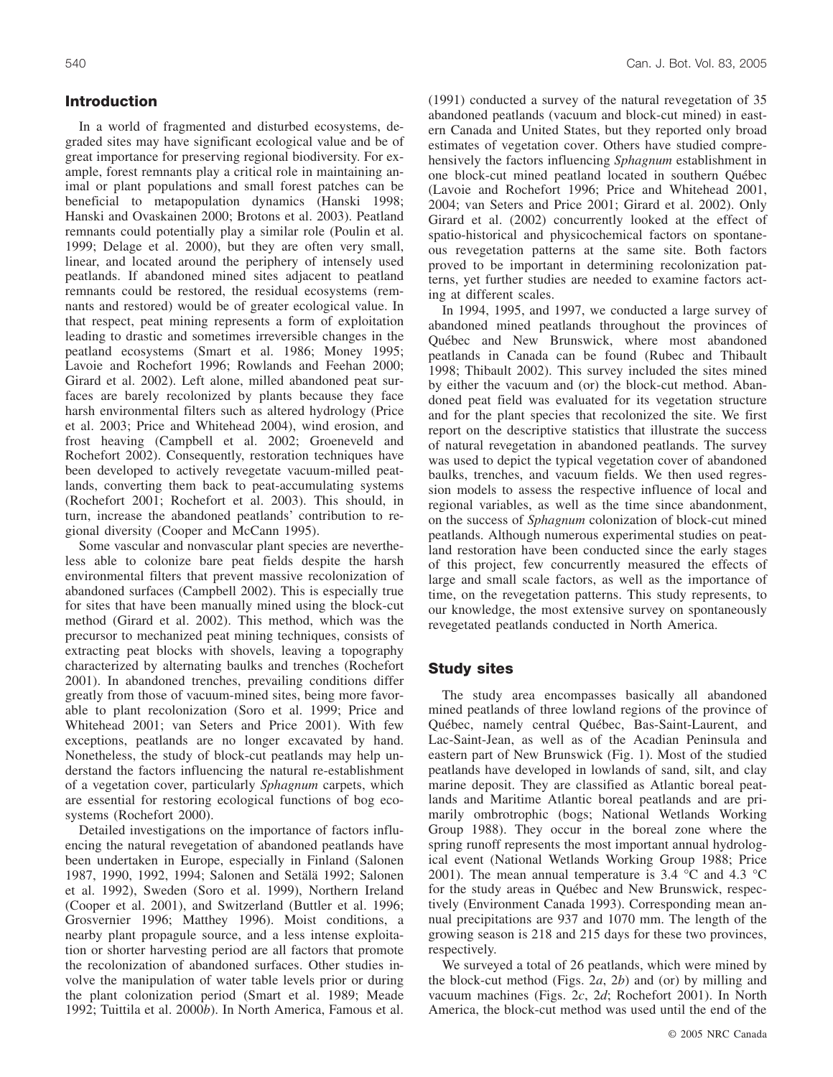### **Introduction**

In a world of fragmented and disturbed ecosystems, degraded sites may have significant ecological value and be of great importance for preserving regional biodiversity. For example, forest remnants play a critical role in maintaining animal or plant populations and small forest patches can be beneficial to metapopulation dynamics (Hanski 1998; Hanski and Ovaskainen 2000; Brotons et al. 2003). Peatland remnants could potentially play a similar role (Poulin et al. 1999; Delage et al. 2000), but they are often very small, linear, and located around the periphery of intensely used peatlands. If abandoned mined sites adjacent to peatland remnants could be restored, the residual ecosystems (remnants and restored) would be of greater ecological value. In that respect, peat mining represents a form of exploitation leading to drastic and sometimes irreversible changes in the peatland ecosystems (Smart et al. 1986; Money 1995; Lavoie and Rochefort 1996; Rowlands and Feehan 2000; Girard et al. 2002). Left alone, milled abandoned peat surfaces are barely recolonized by plants because they face harsh environmental filters such as altered hydrology (Price et al. 2003; Price and Whitehead 2004), wind erosion, and frost heaving (Campbell et al. 2002; Groeneveld and Rochefort 2002). Consequently, restoration techniques have been developed to actively revegetate vacuum-milled peatlands, converting them back to peat-accumulating systems (Rochefort 2001; Rochefort et al. 2003). This should, in turn, increase the abandoned peatlands' contribution to regional diversity (Cooper and McCann 1995).

Some vascular and nonvascular plant species are nevertheless able to colonize bare peat fields despite the harsh environmental filters that prevent massive recolonization of abandoned surfaces (Campbell 2002). This is especially true for sites that have been manually mined using the block-cut method (Girard et al. 2002). This method, which was the precursor to mechanized peat mining techniques, consists of extracting peat blocks with shovels, leaving a topography characterized by alternating baulks and trenches (Rochefort 2001). In abandoned trenches, prevailing conditions differ greatly from those of vacuum-mined sites, being more favorable to plant recolonization (Soro et al. 1999; Price and Whitehead 2001; van Seters and Price 2001). With few exceptions, peatlands are no longer excavated by hand. Nonetheless, the study of block-cut peatlands may help understand the factors influencing the natural re-establishment of a vegetation cover, particularly *Sphagnum* carpets, which are essential for restoring ecological functions of bog ecosystems (Rochefort 2000).

Detailed investigations on the importance of factors influencing the natural revegetation of abandoned peatlands have been undertaken in Europe, especially in Finland (Salonen 1987, 1990, 1992, 1994; Salonen and Setälä 1992; Salonen et al. 1992), Sweden (Soro et al. 1999), Northern Ireland (Cooper et al. 2001), and Switzerland (Buttler et al. 1996; Grosvernier 1996; Matthey 1996). Moist conditions, a nearby plant propagule source, and a less intense exploitation or shorter harvesting period are all factors that promote the recolonization of abandoned surfaces. Other studies involve the manipulation of water table levels prior or during the plant colonization period (Smart et al. 1989; Meade 1992; Tuittila et al. 2000*b*). In North America, Famous et al. (1991) conducted a survey of the natural revegetation of 35 abandoned peatlands (vacuum and block-cut mined) in eastern Canada and United States, but they reported only broad estimates of vegetation cover. Others have studied comprehensively the factors influencing *Sphagnum* establishment in one block-cut mined peatland located in southern Québec (Lavoie and Rochefort 1996; Price and Whitehead 2001, 2004; van Seters and Price 2001; Girard et al. 2002). Only Girard et al. (2002) concurrently looked at the effect of spatio-historical and physicochemical factors on spontaneous revegetation patterns at the same site. Both factors proved to be important in determining recolonization patterns, yet further studies are needed to examine factors acting at different scales.

In 1994, 1995, and 1997, we conducted a large survey of abandoned mined peatlands throughout the provinces of Québec and New Brunswick, where most abandoned peatlands in Canada can be found (Rubec and Thibault 1998; Thibault 2002). This survey included the sites mined by either the vacuum and (or) the block-cut method. Abandoned peat field was evaluated for its vegetation structure and for the plant species that recolonized the site. We first report on the descriptive statistics that illustrate the success of natural revegetation in abandoned peatlands. The survey was used to depict the typical vegetation cover of abandoned baulks, trenches, and vacuum fields. We then used regression models to assess the respective influence of local and regional variables, as well as the time since abandonment, on the success of *Sphagnum* colonization of block-cut mined peatlands. Although numerous experimental studies on peatland restoration have been conducted since the early stages of this project, few concurrently measured the effects of large and small scale factors, as well as the importance of time, on the revegetation patterns. This study represents, to our knowledge, the most extensive survey on spontaneously revegetated peatlands conducted in North America.

### **Study sites**

The study area encompasses basically all abandoned mined peatlands of three lowland regions of the province of Québec, namely central Québec, Bas-Saint-Laurent, and Lac-Saint-Jean, as well as of the Acadian Peninsula and eastern part of New Brunswick (Fig. 1). Most of the studied peatlands have developed in lowlands of sand, silt, and clay marine deposit. They are classified as Atlantic boreal peatlands and Maritime Atlantic boreal peatlands and are primarily ombrotrophic (bogs; National Wetlands Working Group 1988). They occur in the boreal zone where the spring runoff represents the most important annual hydrological event (National Wetlands Working Group 1988; Price 2001). The mean annual temperature is 3.4 °C and 4.3 °C for the study areas in Québec and New Brunswick, respectively (Environment Canada 1993). Corresponding mean annual precipitations are 937 and 1070 mm. The length of the growing season is 218 and 215 days for these two provinces, respectively.

We surveyed a total of 26 peatlands, which were mined by the block-cut method (Figs. 2*a*, 2*b*) and (or) by milling and vacuum machines (Figs. 2*c*, 2*d*; Rochefort 2001). In North America, the block-cut method was used until the end of the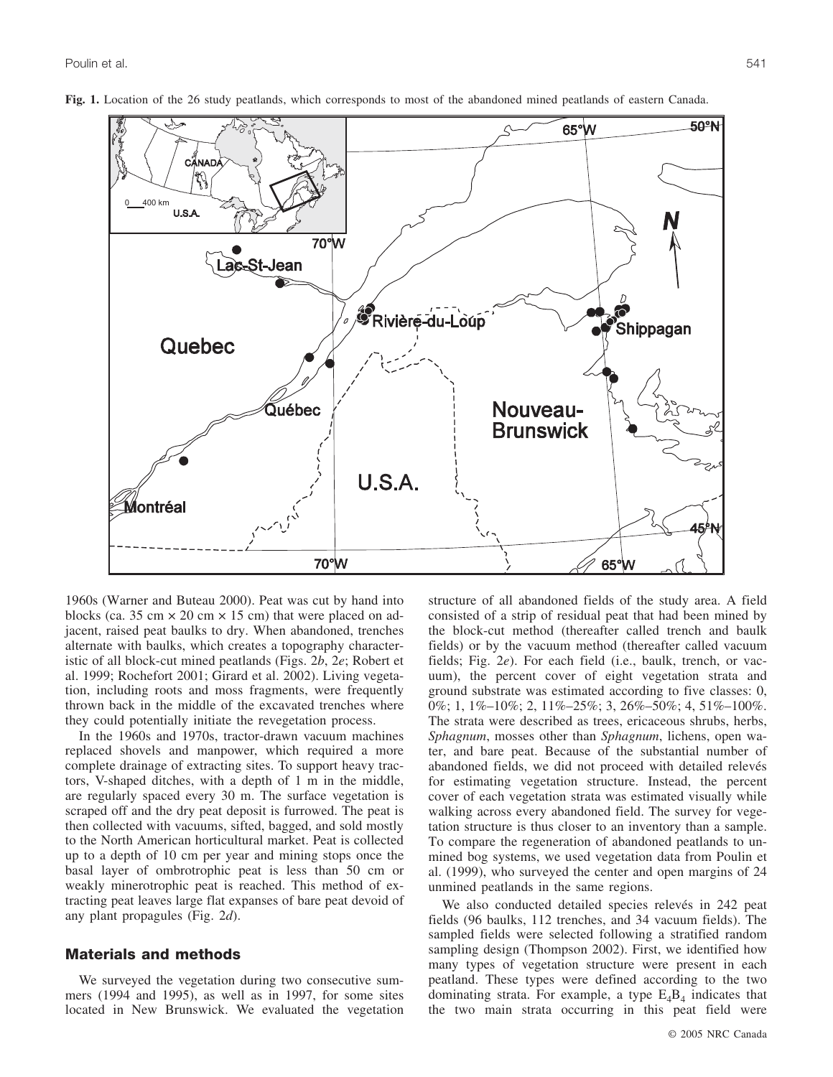

**Fig. 1.** Location of the 26 study peatlands, which corresponds to most of the abandoned mined peatlands of eastern Canada.

1960s (Warner and Buteau 2000). Peat was cut by hand into blocks (ca. 35 cm  $\times$  20 cm  $\times$  15 cm) that were placed on adjacent, raised peat baulks to dry. When abandoned, trenches alternate with baulks, which creates a topography characteristic of all block-cut mined peatlands (Figs. 2*b*, 2*e*; Robert et al. 1999; Rochefort 2001; Girard et al. 2002). Living vegetation, including roots and moss fragments, were frequently thrown back in the middle of the excavated trenches where they could potentially initiate the revegetation process.

In the 1960s and 1970s, tractor-drawn vacuum machines replaced shovels and manpower, which required a more complete drainage of extracting sites. To support heavy tractors, V-shaped ditches, with a depth of 1 m in the middle, are regularly spaced every 30 m. The surface vegetation is scraped off and the dry peat deposit is furrowed. The peat is then collected with vacuums, sifted, bagged, and sold mostly to the North American horticultural market. Peat is collected up to a depth of 10 cm per year and mining stops once the basal layer of ombrotrophic peat is less than 50 cm or weakly minerotrophic peat is reached. This method of extracting peat leaves large flat expanses of bare peat devoid of any plant propagules (Fig. 2*d*).

### **Materials and methods**

We surveyed the vegetation during two consecutive summers (1994 and 1995), as well as in 1997, for some sites located in New Brunswick. We evaluated the vegetation structure of all abandoned fields of the study area. A field consisted of a strip of residual peat that had been mined by the block-cut method (thereafter called trench and baulk fields) or by the vacuum method (thereafter called vacuum fields; Fig. 2*e*). For each field (i.e., baulk, trench, or vacuum), the percent cover of eight vegetation strata and ground substrate was estimated according to five classes: 0, 0%; 1, 1%–10%; 2, 11%–25%; 3, 26%–50%; 4, 51%–100%. The strata were described as trees, ericaceous shrubs, herbs, *Sphagnum*, mosses other than *Sphagnum*, lichens, open water, and bare peat. Because of the substantial number of abandoned fields, we did not proceed with detailed relevés for estimating vegetation structure. Instead, the percent cover of each vegetation strata was estimated visually while walking across every abandoned field. The survey for vegetation structure is thus closer to an inventory than a sample. To compare the regeneration of abandoned peatlands to unmined bog systems, we used vegetation data from Poulin et al. (1999), who surveyed the center and open margins of 24 unmined peatlands in the same regions.

We also conducted detailed species relevés in 242 peat fields (96 baulks, 112 trenches, and 34 vacuum fields). The sampled fields were selected following a stratified random sampling design (Thompson 2002). First, we identified how many types of vegetation structure were present in each peatland. These types were defined according to the two dominating strata. For example, a type  $E_4B_4$  indicates that the two main strata occurring in this peat field were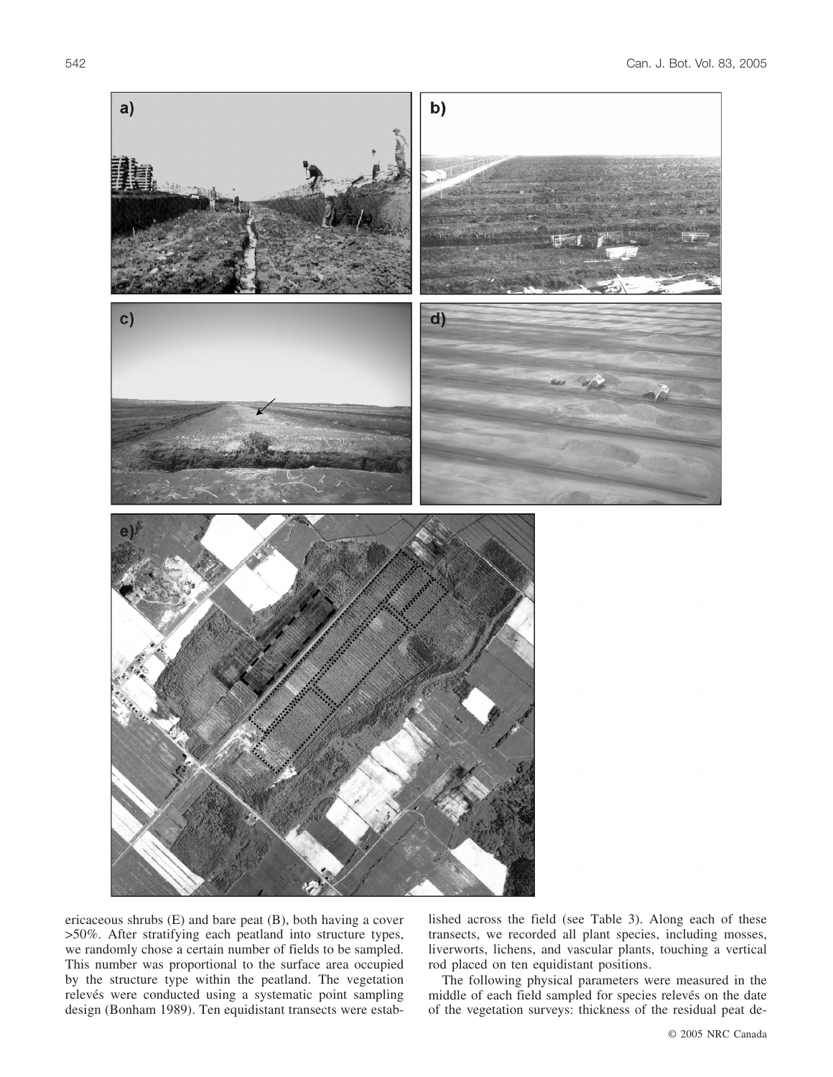

ericaceous shrubs (E) and bare peat (B), both having a cover >50%. After stratifying each peatland into structure types, we randomly chose a certain number of fields to be sampled. This number was proportional to the surface area occupied by the structure type within the peatland. The vegetation relevés were conducted using a systematic point sampling design (Bonham 1989). Ten equidistant transects were established across the field (see Table 3). Along each of these transects, we recorded all plant species, including mosses, liverworts, lichens, and vascular plants, touching a vertical rod placed on ten equidistant positions.

The following physical parameters were measured in the middle of each field sampled for species relevés on the date of the vegetation surveys: thickness of the residual peat de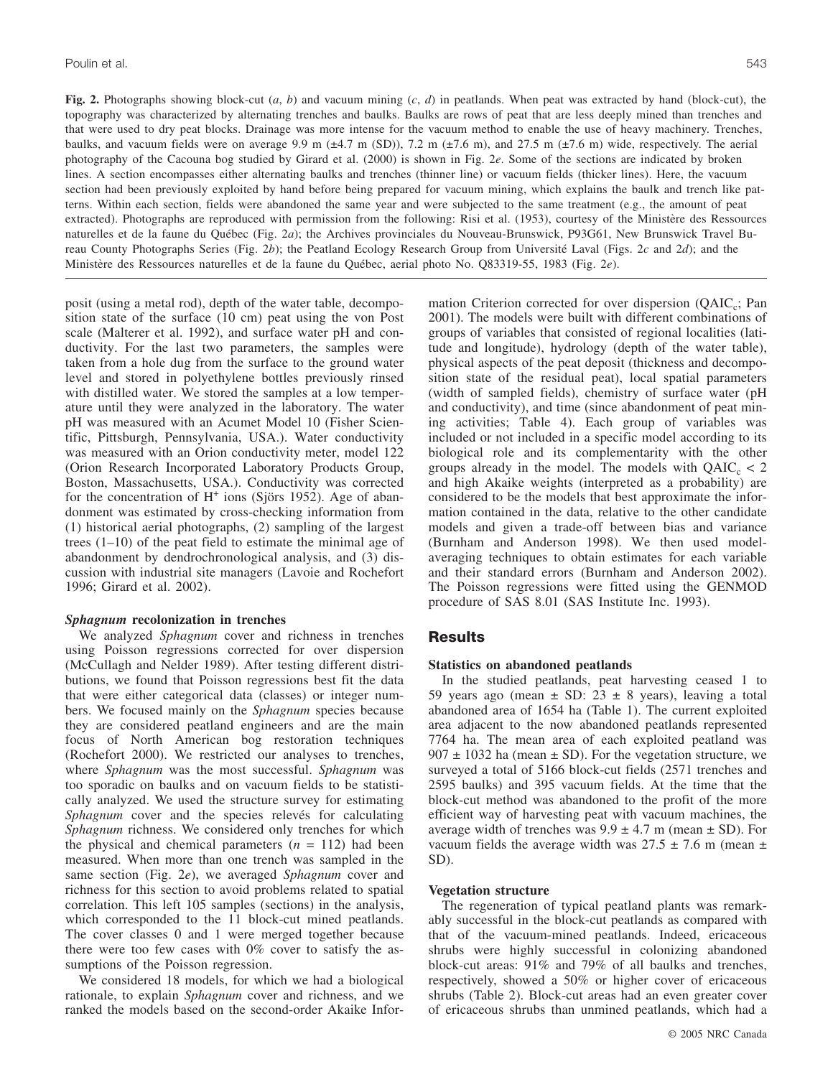**Fig. 2.** Photographs showing block-cut (*a*, *b*) and vacuum mining (*c*, *d*) in peatlands. When peat was extracted by hand (block-cut), the topography was characterized by alternating trenches and baulks. Baulks are rows of peat that are less deeply mined than trenches and that were used to dry peat blocks. Drainage was more intense for the vacuum method to enable the use of heavy machinery. Trenches, baulks, and vacuum fields were on average 9.9 m (±4.7 m (SD)), 7.2 m (±7.6 m), and 27.5 m (±7.6 m) wide, respectively. The aerial photography of the Cacouna bog studied by Girard et al. (2000) is shown in Fig. 2*e*. Some of the sections are indicated by broken lines. A section encompasses either alternating baulks and trenches (thinner line) or vacuum fields (thicker lines). Here, the vacuum section had been previously exploited by hand before being prepared for vacuum mining, which explains the baulk and trench like patterns. Within each section, fields were abandoned the same year and were subjected to the same treatment (e.g., the amount of peat extracted). Photographs are reproduced with permission from the following: Risi et al. (1953), courtesy of the Ministère des Ressources naturelles et de la faune du Québec (Fig. 2*a*); the Archives provinciales du Nouveau-Brunswick, P93G61, New Brunswick Travel Bureau County Photographs Series (Fig. 2*b*); the Peatland Ecology Research Group from Université Laval (Figs. 2*c* and 2*d*); and the Ministre des Ressources naturelles et de la faune du Québec, aerial photo No. Q83319-55, 1983 (Fig. 2*e*).

posit (using a metal rod), depth of the water table, decomposition state of the surface (10 cm) peat using the von Post scale (Malterer et al. 1992), and surface water pH and conductivity. For the last two parameters, the samples were taken from a hole dug from the surface to the ground water level and stored in polyethylene bottles previously rinsed with distilled water. We stored the samples at a low temperature until they were analyzed in the laboratory. The water pH was measured with an Acumet Model 10 (Fisher Scientific, Pittsburgh, Pennsylvania, USA.). Water conductivity was measured with an Orion conductivity meter, model 122 (Orion Research Incorporated Laboratory Products Group, Boston, Massachusetts, USA.). Conductivity was corrected for the concentration of  $H^+$  ions (Sjörs 1952). Age of abandonment was estimated by cross-checking information from (1) historical aerial photographs, (2) sampling of the largest trees (1–10) of the peat field to estimate the minimal age of abandonment by dendrochronological analysis, and (3) discussion with industrial site managers (Lavoie and Rochefort 1996; Girard et al. 2002).

#### *Sphagnum* **recolonization in trenches**

We analyzed *Sphagnum* cover and richness in trenches using Poisson regressions corrected for over dispersion (McCullagh and Nelder 1989). After testing different distributions, we found that Poisson regressions best fit the data that were either categorical data (classes) or integer numbers. We focused mainly on the *Sphagnum* species because they are considered peatland engineers and are the main focus of North American bog restoration techniques (Rochefort 2000). We restricted our analyses to trenches, where *Sphagnum* was the most successful. *Sphagnum* was too sporadic on baulks and on vacuum fields to be statistically analyzed. We used the structure survey for estimating *Sphagnum* cover and the species relevés for calculating *Sphagnum* richness. We considered only trenches for which the physical and chemical parameters  $(n = 112)$  had been measured. When more than one trench was sampled in the same section (Fig. 2*e*), we averaged *Sphagnum* cover and richness for this section to avoid problems related to spatial correlation. This left 105 samples (sections) in the analysis, which corresponded to the 11 block-cut mined peatlands. The cover classes 0 and 1 were merged together because there were too few cases with 0% cover to satisfy the assumptions of the Poisson regression.

We considered 18 models, for which we had a biological rationale, to explain *Sphagnum* cover and richness, and we ranked the models based on the second-order Akaike Information Criterion corrected for over dispersion  $(QAIC_c; Pan)$ 2001). The models were built with different combinations of groups of variables that consisted of regional localities (latitude and longitude), hydrology (depth of the water table), physical aspects of the peat deposit (thickness and decomposition state of the residual peat), local spatial parameters (width of sampled fields), chemistry of surface water (pH and conductivity), and time (since abandonment of peat mining activities; Table 4). Each group of variables was included or not included in a specific model according to its biological role and its complementarity with the other groups already in the model. The models with  $QAIC_c < 2$ and high Akaike weights (interpreted as a probability) are considered to be the models that best approximate the information contained in the data, relative to the other candidate models and given a trade-off between bias and variance (Burnham and Anderson 1998). We then used modelaveraging techniques to obtain estimates for each variable and their standard errors (Burnham and Anderson 2002). The Poisson regressions were fitted using the GENMOD procedure of SAS 8.01 (SAS Institute Inc. 1993).

### **Results**

### **Statistics on abandoned peatlands**

In the studied peatlands, peat harvesting ceased 1 to 59 years ago (mean  $\pm$  SD: 23  $\pm$  8 years), leaving a total abandoned area of 1654 ha (Table 1). The current exploited area adjacent to the now abandoned peatlands represented 7764 ha. The mean area of each exploited peatland was  $907 \pm 1032$  ha (mean  $\pm$  SD). For the vegetation structure, we surveyed a total of 5166 block-cut fields (2571 trenches and 2595 baulks) and 395 vacuum fields. At the time that the block-cut method was abandoned to the profit of the more efficient way of harvesting peat with vacuum machines, the average width of trenches was  $9.9 \pm 4.7$  m (mean  $\pm$  SD). For vacuum fields the average width was  $27.5 \pm 7.6$  m (mean  $\pm$ SD).

#### **Vegetation structure**

The regeneration of typical peatland plants was remarkably successful in the block-cut peatlands as compared with that of the vacuum-mined peatlands. Indeed, ericaceous shrubs were highly successful in colonizing abandoned block-cut areas: 91% and 79% of all baulks and trenches, respectively, showed a 50% or higher cover of ericaceous shrubs (Table 2). Block-cut areas had an even greater cover of ericaceous shrubs than unmined peatlands, which had a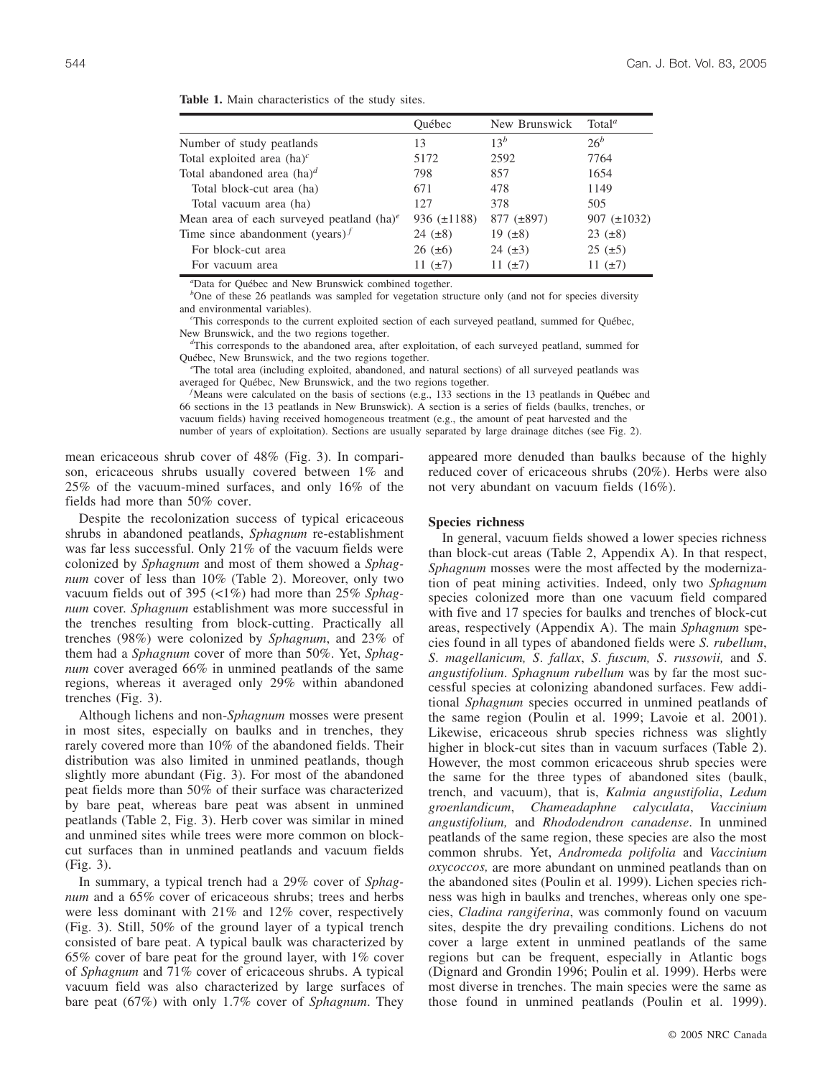|                                                          | Ouébec           | New Brunswick   | Total <sup>a</sup> |
|----------------------------------------------------------|------------------|-----------------|--------------------|
| Number of study peatlands                                | 13               | $13^b$          | $26^b$             |
| Total exploited area $(ha)^c$                            | 5172             | 2592            | 7764               |
| Total abandoned area $(ha)^d$                            | 798              | 857             | 1654               |
| Total block-cut area (ha)                                | 671              | 478             | 1149               |
| Total vacuum area (ha)                                   | 127              | 378             | 505                |
| Mean area of each surveyed peatland $(ha)^e$             | 936 $(\pm 1188)$ | $877 (\pm 897)$ | 907 $(\pm 1032)$   |
| Time since abandonment (years) <sup><math>f</math></sup> | 24 $(\pm 8)$     | 19 $(\pm 8)$    | $23 (\pm 8)$       |
| For block-cut area                                       | $26 (\pm 6)$     | 24 $(\pm 3)$    | $25 (\pm 5)$       |
| For vacuum area                                          | 11 $(\pm 7)$     | 11 $(\pm 7)$    | 11 $(\pm 7)$       |

**Table 1.** Main characteristics of the study sites.

*a* Data for Québec and New Brunswick combined together.

<sup>b</sup>One of these 26 peatlands was sampled for vegetation structure only (and not for species diversity and environmental variables).

This corresponds to the current exploited section of each surveyed peatland, summed for Québec, New Brunswick, and the two regions together.

 $\text{d}^d$ This corresponds to the abandoned area, after exploitation, of each surveyed peatland, summed for Québec, New Brunswick, and the two regions together.

 $\epsilon$ The total area (including exploited, abandoned, and natural sections) of all surveyed peatlands was averaged for Québec, New Brunswick, and the two regions together. *<sup>f</sup>*

Means were calculated on the basis of sections (e.g., 133 sections in the 13 peatlands in Québec and 66 sections in the 13 peatlands in New Brunswick). A section is a series of fields (baulks, trenches, or vacuum fields) having received homogeneous treatment (e.g., the amount of peat harvested and the number of years of exploitation). Sections are usually separated by large drainage ditches (see Fig. 2).

mean ericaceous shrub cover of 48% (Fig. 3). In comparison, ericaceous shrubs usually covered between 1% and 25% of the vacuum-mined surfaces, and only 16% of the fields had more than 50% cover.

Despite the recolonization success of typical ericaceous shrubs in abandoned peatlands, *Sphagnum* re-establishment was far less successful. Only 21% of the vacuum fields were colonized by *Sphagnum* and most of them showed a *Sphagnum* cover of less than 10% (Table 2). Moreover, only two vacuum fields out of 395 (<1%) had more than 25% *Sphagnum* cover. *Sphagnum* establishment was more successful in the trenches resulting from block-cutting. Practically all trenches (98%) were colonized by *Sphagnum*, and 23% of them had a *Sphagnum* cover of more than 50%. Yet, *Sphagnum* cover averaged 66% in unmined peatlands of the same regions, whereas it averaged only 29% within abandoned trenches (Fig. 3).

Although lichens and non-*Sphagnum* mosses were present in most sites, especially on baulks and in trenches, they rarely covered more than 10% of the abandoned fields. Their distribution was also limited in unmined peatlands, though slightly more abundant (Fig. 3). For most of the abandoned peat fields more than 50% of their surface was characterized by bare peat, whereas bare peat was absent in unmined peatlands (Table 2, Fig. 3). Herb cover was similar in mined and unmined sites while trees were more common on blockcut surfaces than in unmined peatlands and vacuum fields (Fig. 3).

In summary, a typical trench had a 29% cover of *Sphagnum* and a 65% cover of ericaceous shrubs; trees and herbs were less dominant with 21% and 12% cover, respectively (Fig. 3). Still, 50% of the ground layer of a typical trench consisted of bare peat. A typical baulk was characterized by 65% cover of bare peat for the ground layer, with 1% cover of *Sphagnum* and 71% cover of ericaceous shrubs. A typical vacuum field was also characterized by large surfaces of bare peat (67%) with only 1.7% cover of *Sphagnum*. They appeared more denuded than baulks because of the highly reduced cover of ericaceous shrubs (20%). Herbs were also not very abundant on vacuum fields (16%).

### **Species richness**

In general, vacuum fields showed a lower species richness than block-cut areas (Table 2, Appendix A). In that respect, *Sphagnum* mosses were the most affected by the modernization of peat mining activities. Indeed, only two *Sphagnum* species colonized more than one vacuum field compared with five and 17 species for baulks and trenches of block-cut areas, respectively (Appendix A). The main *Sphagnum* species found in all types of abandoned fields were *S. rubellum*, *S*. *magellanicum, S*. *fallax*, *S*. *fuscum, S*. *russowii,* and *S*. *angustifolium*. *Sphagnum rubellum* was by far the most successful species at colonizing abandoned surfaces. Few additional *Sphagnum* species occurred in unmined peatlands of the same region (Poulin et al. 1999; Lavoie et al. 2001). Likewise, ericaceous shrub species richness was slightly higher in block-cut sites than in vacuum surfaces (Table 2). However, the most common ericaceous shrub species were the same for the three types of abandoned sites (baulk, trench, and vacuum), that is, *Kalmia angustifolia*, *Ledum groenlandicum*, *Chameadaphne calyculata*, *Vaccinium angustifolium,* and *Rhododendron canadense*. In unmined peatlands of the same region, these species are also the most common shrubs. Yet, *Andromeda polifolia* and *Vaccinium oxycoccos,* are more abundant on unmined peatlands than on the abandoned sites (Poulin et al. 1999). Lichen species richness was high in baulks and trenches, whereas only one species, *Cladina rangiferina*, was commonly found on vacuum sites, despite the dry prevailing conditions. Lichens do not cover a large extent in unmined peatlands of the same regions but can be frequent, especially in Atlantic bogs (Dignard and Grondin 1996; Poulin et al. 1999). Herbs were most diverse in trenches. The main species were the same as those found in unmined peatlands (Poulin et al. 1999).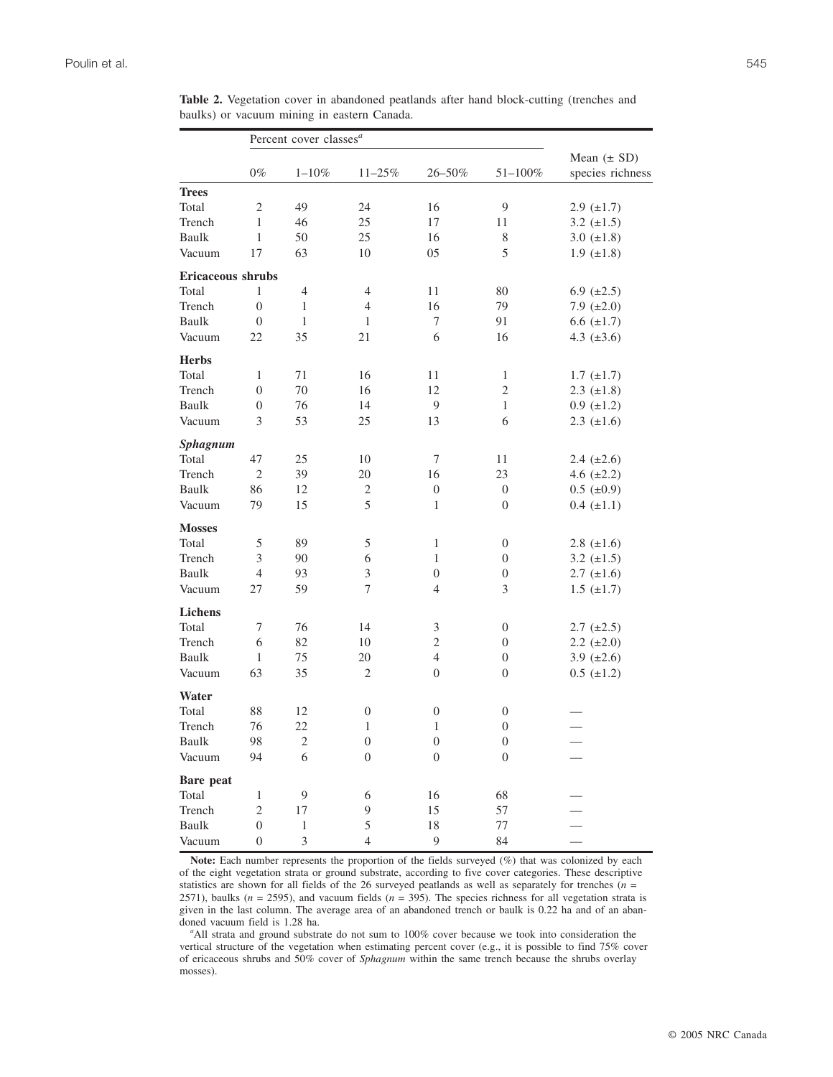|                   |                  | Percent cover classes <sup>a</sup> |                  |                  |                  |                                     |
|-------------------|------------------|------------------------------------|------------------|------------------|------------------|-------------------------------------|
|                   | $0\%$            | $1 - 10\%$                         | $11 - 25%$       | 26-50%           | 51-100%          | Mean $(\pm SD)$<br>species richness |
| <b>Trees</b>      |                  |                                    |                  |                  |                  |                                     |
| Total             | $\mathfrak{2}$   | 49                                 | 24               | 16               | 9                | $2.9 \ (\pm 1.7)$                   |
| Trench            | 1                | 46                                 | 25               | 17               | 11               | 3.2 $(\pm 1.5)$                     |
| Baulk             | 1                | 50                                 | 25               | 16               | 8                | 3.0 $(\pm 1.8)$                     |
| Vacuum            | 17               | 63                                 | 10               | 05               | 5                | $1.9 \ (\pm 1.8)$                   |
| Ericaceous shrubs |                  |                                    |                  |                  |                  |                                     |
| Total             | 1                | $\overline{4}$                     | 4                | 11               | 80               | 6.9 $(\pm 2.5)$                     |
| Trench            | $\mathbf{0}$     | $\mathbf{1}$                       | $\overline{4}$   | 16               | 79               | 7.9 $(\pm 2.0)$                     |
| Baulk             | $\mathbf{0}$     | 1                                  | 1                | 7                | 91               | $6.6 \ (\pm 1.7)$                   |
| Vacuum            | 22               | 35                                 | 21               | 6                | 16               | 4.3 $(\pm 3.6)$                     |
| <b>Herbs</b>      |                  |                                    |                  |                  |                  |                                     |
| Total             | 1                | 71                                 | 16               | 11               | $\mathbf{1}$     | $1.7 \ (\pm 1.7)$                   |
| Trench            | $\boldsymbol{0}$ | 70                                 | 16               | 12               | $\sqrt{2}$       | $2.3 \ (\pm 1.8)$                   |
| Baulk             | $\boldsymbol{0}$ | 76                                 | 14               | 9                | $\mathbf{1}$     | $0.9 \ (\pm 1.2)$                   |
| Vacuum            | 3                | 53                                 | 25               | 13               | 6                | $2.3 \ (\pm 1.6)$                   |
| <b>Sphagnum</b>   |                  |                                    |                  |                  |                  |                                     |
| Total             | 47               | 25                                 | 10               | 7                | 11               | 2.4 $(\pm 2.6)$                     |
| Trench            | $\mathbf{2}$     | 39                                 | 20               | 16               | 23               | 4.6 $(\pm 2.2)$                     |
| Baulk             | 86               | 12                                 | $\mathfrak{2}$   | $\boldsymbol{0}$ | $\boldsymbol{0}$ | $0.5~(\pm 0.9)$                     |
| Vacuum            | 79               | 15                                 | 5                | 1                | $\boldsymbol{0}$ | $0.4~(\pm 1.1)$                     |
| <b>Mosses</b>     |                  |                                    |                  |                  |                  |                                     |
| Total             | 5                | 89                                 | 5                | 1                | $\boldsymbol{0}$ | 2.8 $(\pm 1.6)$                     |
| Trench            | 3                | 90                                 | 6                | 1                | $\boldsymbol{0}$ | 3.2 $(\pm 1.5)$                     |
| Baulk             | 4                | 93                                 | $\mathfrak{Z}$   | 0                | $\boldsymbol{0}$ | $2.7 \ (\pm 1.6)$                   |
| Vacuum            | 27               | 59                                 | 7                | $\overline{4}$   | 3                | $1.5 \ (\pm 1.7)$                   |
| Lichens           |                  |                                    |                  |                  |                  |                                     |
| Total             | 7                | 76                                 | 14               | 3                | $\boldsymbol{0}$ | $2.7 \ (\pm 2.5)$                   |
| Trench            | 6                | 82                                 | 10               | $\sqrt{2}$       | $\boldsymbol{0}$ | $2.2 \ (\pm 2.0)$                   |
| Baulk             | 1                | 75                                 | 20               | $\overline{4}$   | $\boldsymbol{0}$ | 3.9 $(\pm 2.6)$                     |
| Vacuum            | 63               | 35                                 | $\mathfrak{2}$   | $\boldsymbol{0}$ | $\boldsymbol{0}$ | $0.5~(\pm 1.2)$                     |
| Water             |                  |                                    |                  |                  |                  |                                     |
| Total             | 88               | 12                                 | $\boldsymbol{0}$ | $\boldsymbol{0}$ | $\boldsymbol{0}$ |                                     |
| Trench            | 76               | 22                                 | 1                | $\mathbf{1}$     | $\boldsymbol{0}$ |                                     |
| Baulk             | 98               | $\boldsymbol{2}$                   | $\boldsymbol{0}$ | $\boldsymbol{0}$ | $\boldsymbol{0}$ |                                     |
| Vacuum            | 94               | 6                                  | $\boldsymbol{0}$ | $\boldsymbol{0}$ | $\boldsymbol{0}$ |                                     |
| <b>Bare</b> peat  |                  |                                    |                  |                  |                  |                                     |
| Total             | $\mathbf{1}$     | $\overline{9}$                     | 6                | 16               | 68               |                                     |
| Trench            | $\mathbf{2}$     | 17                                 | 9                | 15               | 57               |                                     |
| Baulk             | $\boldsymbol{0}$ | $\,1$                              | 5                | 18               | $77 \,$          |                                     |
| Vacuum            | $\boldsymbol{0}$ | 3                                  | $\overline{4}$   | 9                | 84               |                                     |

**Table 2.** Vegetation cover in abandoned peatlands after hand block-cutting (trenches and baulks) or vacuum mining in eastern Canada.

**Note:** Each number represents the proportion of the fields surveyed (%) that was colonized by each of the eight vegetation strata or ground substrate, according to five cover categories. These descriptive statistics are shown for all fields of the 26 surveyed peatlands as well as separately for trenches (*n* = 2571), baulks ( $n = 2595$ ), and vacuum fields ( $n = 395$ ). The species richness for all vegetation strata is given in the last column. The average area of an abandoned trench or baulk is 0.22 ha and of an abandoned vacuum field is 1.28 ha.

All strata and ground substrate do not sum to 100% cover because we took into consideration the vertical structure of the vegetation when estimating percent cover (e.g., it is possible to find 75% cover of ericaceous shrubs and 50% cover of *Sphagnum* within the same trench because the shrubs overlay mosses).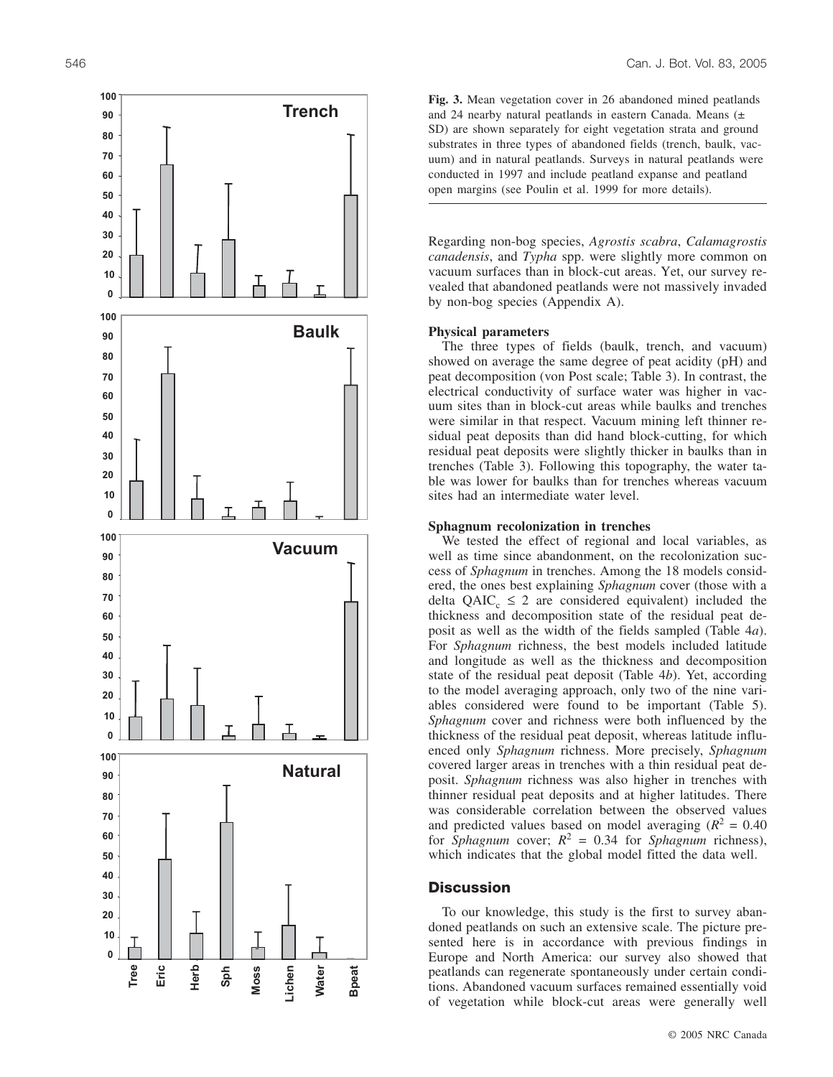

**Fig. 3.** Mean vegetation cover in 26 abandoned mined peatlands and 24 nearby natural peatlands in eastern Canada. Means (± SD) are shown separately for eight vegetation strata and ground substrates in three types of abandoned fields (trench, baulk, vacuum) and in natural peatlands. Surveys in natural peatlands were conducted in 1997 and include peatland expanse and peatland open margins (see Poulin et al. 1999 for more details).

Regarding non-bog species, *Agrostis scabra* , *Calamagrostis canadensis*, and *Typha* spp. were slightly more common on vacuum surfaces than in block-cut areas. Yet, our survey re vealed that abandoned peatlands were not massively invaded by non-bog species (Appendix A).

### **Physical parameters**

The three types of fields (baulk, trench, and vacuum) showed on average the same degree of peat acidity (pH) and peat decomposition (von Post scale; Table 3). In contrast, the electrical conductivity of surface water was higher in vac uum sites than in block-cut areas while baulks and trenches were similar in that respect. Vacuum mining left thinner residual peat deposits than did hand block-cutting, for which residual peat deposits were slightly thicker in baulks than in trenches (Table 3). Following this topography, the water table was lower for baulks than for trenches whereas vacuum sites had an intermediate water level.

### **Sphagnum recolonization in trenches**

We tested the effect of regional and local variables, as well as time since abandonment, on the recolonization success of *Sphagnum* in trenches. Among the 18 models considered, the ones best explaining *Sphagnum* cover (those with a delta  $QAIC_c \leq 2$  are considered equivalent) included the thickness and decomposition state of the residual peat deposit as well as the width of the fields sampled (Table 4*a*). For *Sphagnum* richness, the best models included latitude and longitude as well as the thickness and decomposition state of the residual peat deposit (Table 4 *b*). Yet, according to the model averaging approach, only two of the nine vari ables considered were found to be important (Table 5). *Sphagnum* cover and richness were both influenced by the thickness of the residual peat deposit, whereas latitude influ enced only *Sphagnum* richness. More precisely, *Sphagnum* covered larger areas in trenches with a thin residual peat de posit. *Sphagnum* richness was also higher in trenches with thinner residual peat deposits and at higher latitudes. There was considerable correlation between the observed values and predicted values based on model averaging  $(R^2 = 0.40)$ for *Sphagnum* cover;  $R^2 = 0.34$  for *Sphagnum* richness), which indicates that the global model fitted the data well.

### **Discussion**

To our knowledge, this study is the first to survey aban doned peatlands on such an extensive scale. The picture pre sented here is in accordance with previous findings in Europe and North America: our survey also showed that peatlands can regenerate spontaneously under certain condi tions. Abandoned vacuum surfaces remained essentially void of vegetation while block-cut areas were generally well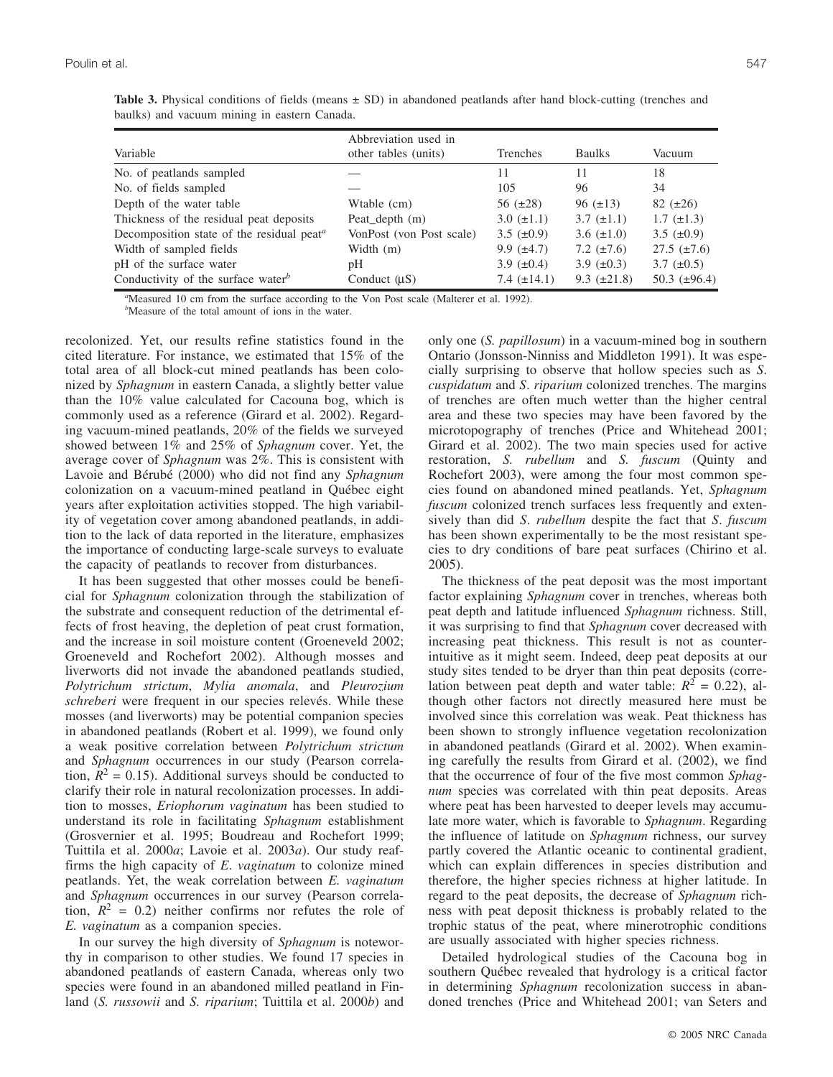|                                                                    | Abbreviation used in     |                   |                  |                    |
|--------------------------------------------------------------------|--------------------------|-------------------|------------------|--------------------|
| Variable                                                           | other tables (units)     | Trenches          | <b>Baulks</b>    | Vacuum             |
| No. of peatlands sampled                                           |                          | 11                | 11               | 18                 |
| No. of fields sampled                                              |                          | 105               | 96               | 34                 |
| Depth of the water table                                           | Wtable (cm)              | 56 $(\pm 28)$     | $96 \ (\pm 13)$  | $82 (\pm 26)$      |
| Thickness of the residual peat deposits                            | Peat_depth (m)           | $3.0 \ (\pm 1.1)$ | 3.7 $(\pm 1.1)$  | $1.7~(\pm 1.3)$    |
| Decomposition state of the residual peat <sup><math>a</math></sup> | VonPost (von Post scale) | 3.5 $(\pm 0.9)$   | 3.6 $(\pm 1.0)$  | 3.5 $(\pm 0.9)$    |
| Width of sampled fields                                            | Width $(m)$              | 9.9 $(\pm 4.7)$   | 7.2 $(\pm 7.6)$  | $27.5 \ (\pm 7.6)$ |
| pH of the surface water                                            | pH                       | 3.9 $(\pm 0.4)$   | 3.9 $(\pm 0.3)$  | 3.7 $(\pm 0.5)$    |
| Conductivity of the surface water <sup>b</sup>                     | Conduct $(\mu S)$        | 7.4 $(\pm 14.1)$  | 9.3 $(\pm 21.8)$ | 50.3 $(\pm 96.4)$  |

**Table 3.** Physical conditions of fields (means  $\pm$  SD) in abandoned peatlands after hand block-cutting (trenches and baulks) and vacuum mining in eastern Canada.

*a* Measured 10 cm from the surface according to the Von Post scale (Malterer et al. 1992). *b* Measure of the total amount of ions in the water.

recolonized. Yet, our results refine statistics found in the cited literature. For instance, we estimated that 15% of the total area of all block-cut mined peatlands has been colonized by *Sphagnum* in eastern Canada, a slightly better value than the 10% value calculated for Cacouna bog, which is commonly used as a reference (Girard et al. 2002). Regarding vacuum-mined peatlands, 20% of the fields we surveyed showed between 1% and 25% of *Sphagnum* cover. Yet, the average cover of *Sphagnum* was 2%. This is consistent with Lavoie and Bérubé (2000) who did not find any *Sphagnum* colonization on a vacuum-mined peatland in Québec eight years after exploitation activities stopped. The high variability of vegetation cover among abandoned peatlands, in addition to the lack of data reported in the literature, emphasizes the importance of conducting large-scale surveys to evaluate the capacity of peatlands to recover from disturbances.

It has been suggested that other mosses could be beneficial for *Sphagnum* colonization through the stabilization of the substrate and consequent reduction of the detrimental effects of frost heaving, the depletion of peat crust formation, and the increase in soil moisture content (Groeneveld 2002; Groeneveld and Rochefort 2002). Although mosses and liverworts did not invade the abandoned peatlands studied, *Polytrichum strictum*, *Mylia anomala*, and *Pleurozium schreberi* were frequent in our species relevés. While these mosses (and liverworts) may be potential companion species in abandoned peatlands (Robert et al. 1999), we found only a weak positive correlation between *Polytrichum strictum* and *Sphagnum* occurrences in our study (Pearson correlation,  $R^2 = 0.15$ ). Additional surveys should be conducted to clarify their role in natural recolonization processes. In addition to mosses, *Eriophorum vaginatum* has been studied to understand its role in facilitating *Sphagnum* establishment (Grosvernier et al. 1995; Boudreau and Rochefort 1999; Tuittila et al. 2000*a*; Lavoie et al. 2003*a*). Our study reaffirms the high capacity of *E*. *vaginatum* to colonize mined peatlands. Yet, the weak correlation between *E. vaginatum* and *Sphagnum* occurrences in our survey (Pearson correlation,  $R^2 = 0.2$ ) neither confirms nor refutes the role of *E. vaginatum* as a companion species.

In our survey the high diversity of *Sphagnum* is noteworthy in comparison to other studies. We found 17 species in abandoned peatlands of eastern Canada, whereas only two species were found in an abandoned milled peatland in Finland (*S. russowii* and *S. riparium*; Tuittila et al. 2000*b*) and only one (*S. papillosum*) in a vacuum-mined bog in southern Ontario (Jonsson-Ninniss and Middleton 1991). It was especially surprising to observe that hollow species such as *S*. *cuspidatum* and *S*. *riparium* colonized trenches. The margins of trenches are often much wetter than the higher central area and these two species may have been favored by the microtopography of trenches (Price and Whitehead 2001; Girard et al. 2002). The two main species used for active restoration, *S. rubellum* and *S. fuscum* (Quinty and Rochefort 2003), were among the four most common species found on abandoned mined peatlands. Yet, *Sphagnum fuscum* colonized trench surfaces less frequently and extensively than did *S*. *rubellum* despite the fact that *S*. *fuscum* has been shown experimentally to be the most resistant species to dry conditions of bare peat surfaces (Chirino et al. 2005).

The thickness of the peat deposit was the most important factor explaining *Sphagnum* cover in trenches, whereas both peat depth and latitude influenced *Sphagnum* richness. Still, it was surprising to find that *Sphagnum* cover decreased with increasing peat thickness. This result is not as counterintuitive as it might seem. Indeed, deep peat deposits at our study sites tended to be dryer than thin peat deposits (correlation between peat depth and water table:  $R^2 = 0.22$ ), although other factors not directly measured here must be involved since this correlation was weak. Peat thickness has been shown to strongly influence vegetation recolonization in abandoned peatlands (Girard et al. 2002). When examining carefully the results from Girard et al. (2002), we find that the occurrence of four of the five most common *Sphagnum* species was correlated with thin peat deposits. Areas where peat has been harvested to deeper levels may accumulate more water, which is favorable to *Sphagnum*. Regarding the influence of latitude on *Sphagnum* richness, our survey partly covered the Atlantic oceanic to continental gradient, which can explain differences in species distribution and therefore, the higher species richness at higher latitude. In regard to the peat deposits, the decrease of *Sphagnum* richness with peat deposit thickness is probably related to the trophic status of the peat, where minerotrophic conditions are usually associated with higher species richness.

Detailed hydrological studies of the Cacouna bog in southern Québec revealed that hydrology is a critical factor in determining *Sphagnum* recolonization success in abandoned trenches (Price and Whitehead 2001; van Seters and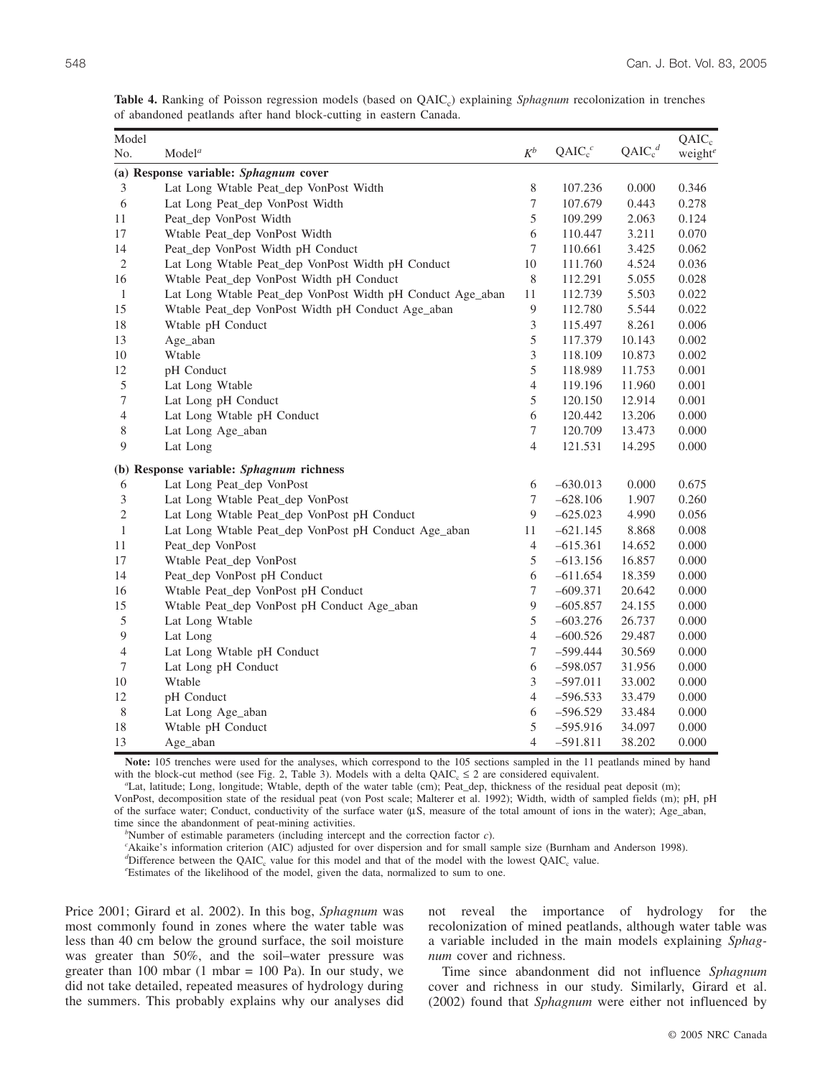|                                                                    |  |  |  | Table 4. Ranking of Poisson regression models (based on QAIC <sub>c</sub> ) explaining <i>Sphagnum</i> recolonization in trenches |  |
|--------------------------------------------------------------------|--|--|--|-----------------------------------------------------------------------------------------------------------------------------------|--|
| of abandoned peatlands after hand block-cutting in eastern Canada. |  |  |  |                                                                                                                                   |  |

| Model          |                                                            |                  |            |                                | $QAIC_c$            |
|----------------|------------------------------------------------------------|------------------|------------|--------------------------------|---------------------|
| No.            | Model <sup>a</sup>                                         | $K^b$            | $QAIC_c^c$ | QAIC <sub>c</sub> <sup>d</sup> | weight <sup>e</sup> |
|                | (a) Response variable: Sphagnum cover                      |                  |            |                                |                     |
| 3              | Lat Long Wtable Peat_dep VonPost Width                     | 8                | 107.236    | 0.000                          | 0.346               |
| 6              | Lat Long Peat_dep VonPost Width                            | 7                | 107.679    | 0.443                          | 0.278               |
| 11             | Peat_dep VonPost Width                                     | 5                | 109.299    | 2.063                          | 0.124               |
| 17             | Wtable Peat_dep VonPost Width                              | 6                | 110.447    | 3.211                          | 0.070               |
| 14             | Peat_dep VonPost Width pH Conduct                          | $\tau$           | 110.661    | 3.425                          | 0.062               |
| $\overline{c}$ | Lat Long Wtable Peat_dep VonPost Width pH Conduct          | $10\,$           | 111.760    | 4.524                          | 0.036               |
| 16             | Wtable Peat_dep VonPost Width pH Conduct                   | 8                | 112.291    | 5.055                          | 0.028               |
| $\mathbf{1}$   | Lat Long Wtable Peat_dep VonPost Width pH Conduct Age_aban | 11               | 112.739    | 5.503                          | 0.022               |
| 15             | Wtable Peat_dep VonPost Width pH Conduct Age_aban          | 9                | 112.780    | 5.544                          | 0.022               |
| 18             | Wtable pH Conduct                                          | $\mathfrak{Z}$   | 115.497    | 8.261                          | 0.006               |
| 13             | Age_aban                                                   | 5                | 117.379    | 10.143                         | 0.002               |
| 10             | Wtable                                                     | 3                | 118.109    | 10.873                         | 0.002               |
| 12             | pH Conduct                                                 | 5                | 118.989    | 11.753                         | 0.001               |
| $\mathfrak s$  | Lat Long Wtable                                            | $\overline{4}$   | 119.196    | 11.960                         | 0.001               |
| $\tau$         | Lat Long pH Conduct                                        | 5                | 120.150    | 12.914                         | 0.001               |
| $\overline{4}$ | Lat Long Wtable pH Conduct                                 | 6                | 120.442    | 13.206                         | 0.000               |
| 8              | Lat Long Age_aban                                          | $\tau$           | 120.709    | 13.473                         | 0.000               |
| 9              | Lat Long                                                   | $\overline{4}$   | 121.531    | 14.295                         | 0.000               |
|                | (b) Response variable: Sphagnum richness                   |                  |            |                                |                     |
| 6              | Lat Long Peat_dep VonPost                                  | 6                | $-630.013$ | 0.000                          | 0.675               |
| 3              | Lat Long Wtable Peat_dep VonPost                           | $\boldsymbol{7}$ | $-628.106$ | 1.907                          | 0.260               |
| $\overline{c}$ | Lat Long Wtable Peat_dep VonPost pH Conduct                | 9                | $-625.023$ | 4.990                          | 0.056               |
| $\mathbf{1}$   | Lat Long Wtable Peat_dep VonPost pH Conduct Age_aban       | 11               | $-621.145$ | 8.868                          | 0.008               |
| 11             | Peat_dep VonPost                                           | $\overline{4}$   | $-615.361$ | 14.652                         | 0.000               |
| 17             | Wtable Peat_dep VonPost                                    | 5                | $-613.156$ | 16.857                         | 0.000               |
| 14             | Peat_dep VonPost pH Conduct                                | 6                | $-611.654$ | 18.359                         | 0.000               |
| 16             | Wtable Peat_dep VonPost pH Conduct                         | $\tau$           | $-609.371$ | 20.642                         | 0.000               |
| 15             | Wtable Peat_dep VonPost pH Conduct Age_aban                | $\overline{9}$   | $-605.857$ | 24.155                         | 0.000               |
| 5              | Lat Long Wtable                                            | 5                | $-603.276$ | 26.737                         | 0.000               |
| $\overline{9}$ | Lat Long                                                   | $\overline{4}$   | $-600.526$ | 29.487                         | 0.000               |
| $\overline{4}$ | Lat Long Wtable pH Conduct                                 | $\boldsymbol{7}$ | $-599.444$ | 30.569                         | 0.000               |
| 7              | Lat Long pH Conduct                                        | 6                | $-598.057$ | 31.956                         | 0.000               |
| 10             | Wtable                                                     | 3                | $-597.011$ | 33.002                         | 0.000               |
| 12             | pH Conduct                                                 | $\overline{4}$   | $-596.533$ | 33.479                         | 0.000               |
| $\,$ 8 $\,$    | Lat Long Age_aban                                          | 6                | $-596.529$ | 33.484                         | 0.000               |
| 18             | Wtable pH Conduct                                          | 5                | $-595.916$ | 34.097                         | 0.000               |
| 13             | Age_aban                                                   | $\overline{4}$   | $-591.811$ | 38.202                         | 0.000               |

**Note:** 105 trenches were used for the analyses, which correspond to the 105 sections sampled in the 11 peatlands mined by hand with the block-cut method (see Fig. 2, Table 3). Models with a delta  $QAIC_c \le 2$  are considered equivalent.

Lat, latitude; Long, longitude; Wtable, depth of the water table (cm); Peat\_dep, thickness of the residual peat deposit (m); VonPost, decomposition state of the residual peat (von Post scale; Malterer et al. 1992); Width, width of sampled fields (m); pH, pH of the surface water; Conduct, conductivity of the surface water (µS, measure of the total amount of ions in the water); Age\_aban,

time since the abandonment of peat-mining activities. *<sup>b</sup>*

<sup>*b*</sup>Number of estimable parameters (including intercept and the correction factor  $c$ ).

Akaike's information criterion (AIC) adjusted for over dispersion and for small sample size (Burnham and Anderson 1998).

 $d^d$ Difference between the QAIC<sub>c</sub> value for this model and that of the model with the lowest QAIC<sub>c</sub> value.

Estimates of the likelihood of the model, given the data, normalized to sum to one.

Price 2001; Girard et al. 2002). In this bog, *Sphagnum* was most commonly found in zones where the water table was less than 40 cm below the ground surface, the soil moisture was greater than 50%, and the soil–water pressure was greater than 100 mbar  $(1 \text{ mbar} = 100 \text{ Pa})$ . In our study, we did not take detailed, repeated measures of hydrology during the summers. This probably explains why our analyses did not reveal the importance of hydrology for the recolonization of mined peatlands, although water table was a variable included in the main models explaining *Sphagnum* cover and richness.

Time since abandonment did not influence *Sphagnum* cover and richness in our study. Similarly, Girard et al. (2002) found that *Sphagnum* were either not influenced by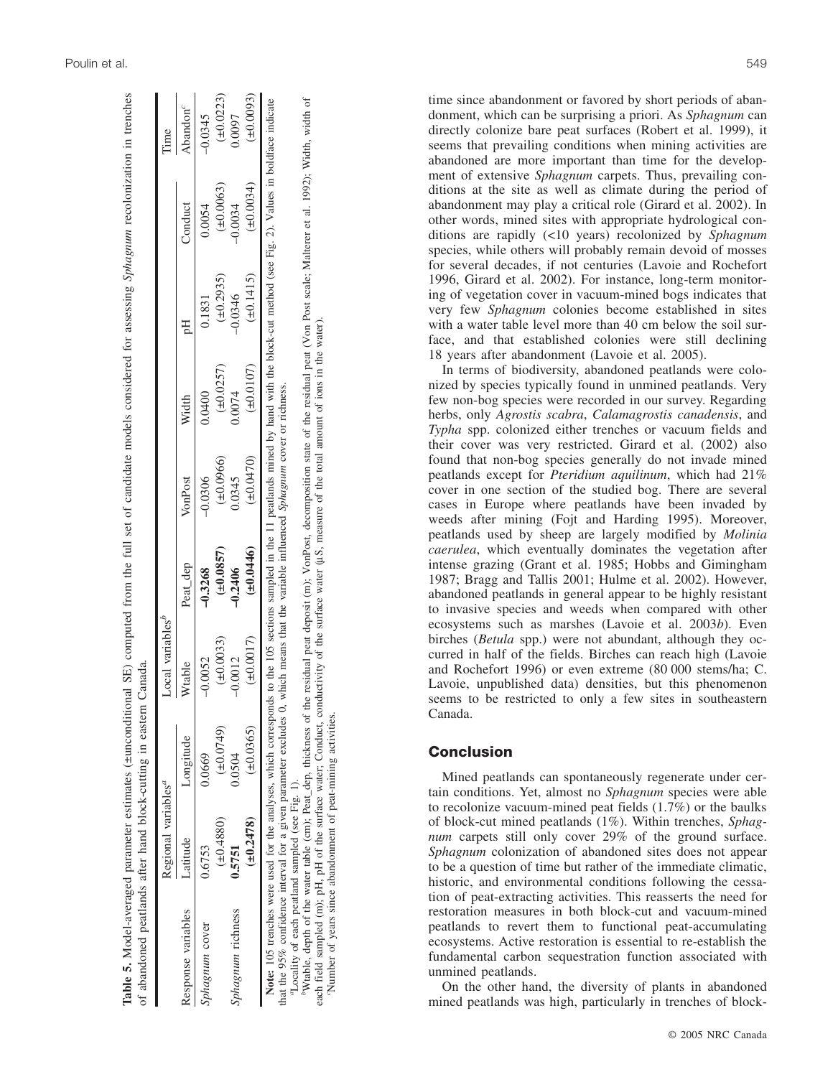| Table 5. Model-averaged parameter estimates (±unconditional SE) computed from the full set of candidate models considered for assessing Sphagnum recolonization in trenches<br>of abandoned peatlands after hand block-cutting in eastern Canada |                                 |                |                                     |                                                                      |           |                |                |                |                        |
|--------------------------------------------------------------------------------------------------------------------------------------------------------------------------------------------------------------------------------------------------|---------------------------------|----------------|-------------------------------------|----------------------------------------------------------------------|-----------|----------------|----------------|----------------|------------------------|
|                                                                                                                                                                                                                                                  | Regional variables <sup>"</sup> |                | Local variables <sup><i>b</i></sup> |                                                                      |           |                |                |                | $\mathop{\mathrm{me}}$ |
| Response variables                                                                                                                                                                                                                               | Latitude                        | Longitude      | Wtable                              | Peat dep                                                             | VonPost   | Width          |                | Conduct        | Abandon <sup>c</sup>   |
| Sphagnum cover                                                                                                                                                                                                                                   | 0.6753                          | 0.0669         | $-0.0052$                           | $-0.3268$                                                            | $-0.0306$ | 00400          | 0.1831         | 0.0054         | $-0.0345$              |
|                                                                                                                                                                                                                                                  | (1.0880)                        | $(\pm 0.0749)$ | $(\pm 0.0033)$                      | $(\pm 0.0857)$                                                       | (10.0966) | $(\pm 0.0257)$ | $(\pm 0.2935)$ | $(\pm 0.0063)$ | $(\pm 0.0223)$         |
| Sphagnum richness                                                                                                                                                                                                                                | 0.5751                          | 0.0504         | $-0.0012$                           | $-0.2406$                                                            | 0345      | 0.0074         | $-0.0346$      | $-0.0034$      | 1600;                  |
|                                                                                                                                                                                                                                                  | (40.2478)                       | $(\pm 0.0365)$ | $(\pm 0.0017)$                      | (10.0446)                                                            | (40.0470) | $(\pm 0.0107)$ | $(\pm 0.1415)$ | (10.0034)      | $(\pm 0.0093)$         |
| Note: 105 trenches were used for the analyses, which corresponds to the 105 sections sampled in the 11 peatlands mined by hand with the block-cut method (see Fig. 2). Values in boldface indicate                                               |                                 |                |                                     |                                                                      |           |                |                |                |                        |
| that the $95\%$ confidence interval for a given parameter excludes 0,                                                                                                                                                                            |                                 |                |                                     | which means that the variable influenced Sphagnum cover or richness. |           |                |                |                |                        |
| "Locality of each peatland sampled (see Fig. 1).                                                                                                                                                                                                 |                                 |                |                                     |                                                                      |           |                |                |                |                        |
| "Wtable, depth of the water table (cm); Peat_dep, thickness of the residual peat deposit (m); VonPost, decomposition state of the residual peat (Von Post scale; Malterer et al. 1992); Width, width of                                          |                                 |                |                                     |                                                                      |           |                |                |                |                        |
| each field sampled (m); pH, pH of the surface water; Conduct, conductivity of the surface water (uS, measure of the total amount of ions in the water).                                                                                          |                                 |                |                                     |                                                                      |           |                |                |                |                        |
| "Number of years since abandonment of peat-mining activities.                                                                                                                                                                                    |                                 |                |                                     |                                                                      |           |                |                |                |                        |

time since abandonment or favored by short periods of aban donment, which can be surprising a priori. As *Sphagnum* can directly colonize bare peat surfaces (Robert et al. 1999), it seems that prevailing conditions when mining activities are abandoned are more important than time for the develop ment of extensive *Sphagnum* carpets. Thus, prevailing con ditions at the site as well as climate during the period of abandonment may play a critical role (Girard et al. 2002). In other words, mined sites with appropriate hydrological con ditions are rapidly (<10 years) recolonized by *Sphagnum* species, while others will probably remain devoid of mosses for several decades, if not centuries (Lavoie and Rochefort 1996, Girard et al. 2002). For instance, long-term monitor ing of vegetation cover in vacuum-mined bogs indicates that very few *Sphagnum* colonies become established in sites with a water table level more than 40 cm below the soil surface, and that established colonies were still declining 18 years after abandonment (Lavoie et al. 2005).

In terms of biodiversity, abandoned peatlands were colo nized by species typically found in unmined peatlands. Very few non-bog species were recorded in our survey. Regarding herbs, only *Agrostis scabra* , *Calamagrostis canadensis*, and *Typha* spp. colonized either trenches or vacuum fields and their cover was very restricted. Girard et al. (2002) also found that non-bog species generally do not invade mined peatlands except for *Pteridium aquilinum*, which had 21% cover in one section of the studied bog. There are several cases in Europe where peatlands have been invaded by weeds after mining (Fojt and Harding 1995). Moreover, peatlands used by sheep are largely modified by *Molinia caerulea*, which eventually dominates the vegetation after intense grazing (Grant et al. 1985; Hobbs and Gimingham 1987; Bragg and Tallis 2001; Hulme et al. 2002). However, abandoned peatlands in general appear to be highly resistant to invasive species and weeds when compared with other ecosystems such as marshes (Lavoie et al. 2003 *b*). Even birches (Betula spp.) were not abundant, although they occurred in half of the fields. Birches can reach high (Lavoie and Rochefort 1996) or even extreme (80 000 stems/ha; C. Lavoie, unpublished data) densities, but this phenomenon seems to be restricted to only a few sites in southeastern Canada.

### **Conclusion**

Mined peatlands can spontaneously regenerate under cer tain conditions. Yet, almost no *Sphagnum* species were able to recolonize vacuum-mined peat fields (1.7%) or the baulks of block-cut mined peatlands (1%). Within trenches, *Sphag num* carpets still only cover 29% of the ground surface. *Sphagnum* colonization of abandoned sites does not appear to be a question of time but rather of the immediate climatic, historic, and environmental conditions following the cessa tion of peat-extracting activities. This reasserts the need for restoration measures in both block-cut and vacuum-mined peatlands to revert them to functional peat-accumulating ecosystems. Active restoration is essential to re-establish the fundamental carbon sequestration function associated with unmined peatlands.

On the other hand, the diversity of plants in abandoned mined peatlands was high, particularly in trenches of block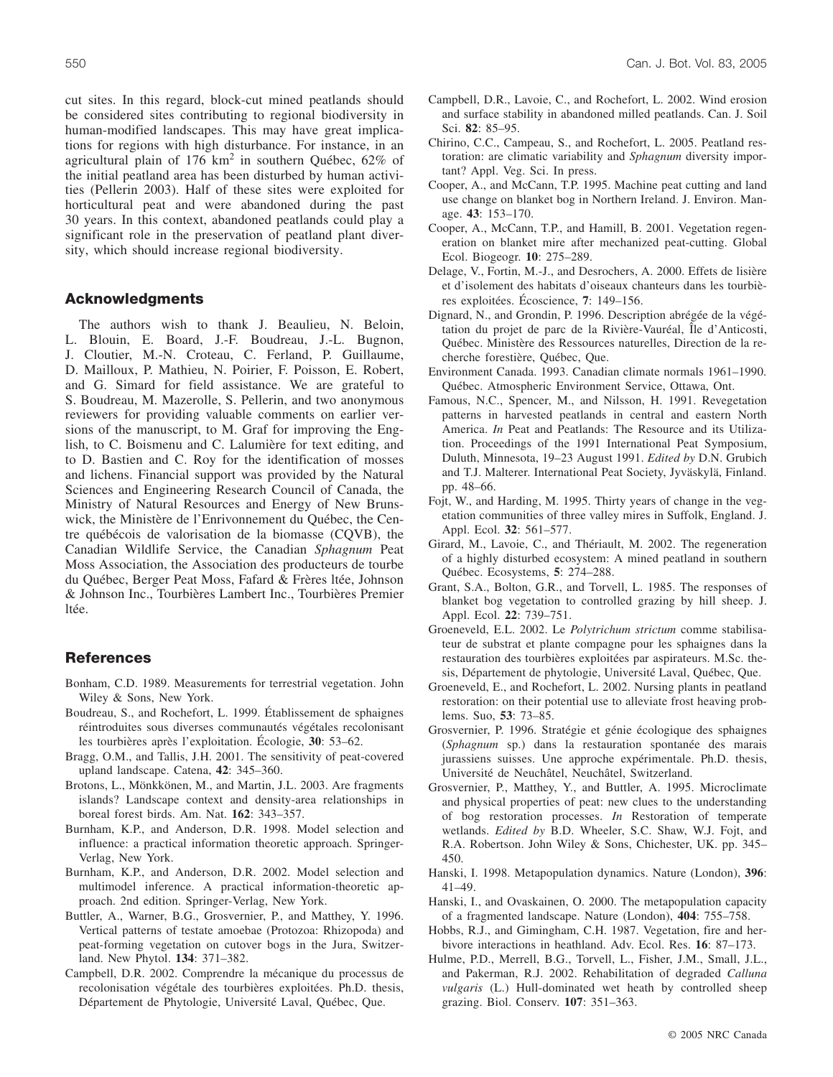cut sites. In this regard, block-cut mined peatlands should be considered sites contributing to regional biodiversity in human-modified landscapes. This may have great implications for regions with high disturbance. For instance, in an agricultural plain of  $176 \text{ km}^2$  in southern Québec,  $62\%$  of the initial peatland area has been disturbed by human activities (Pellerin 2003). Half of these sites were exploited for horticultural peat and were abandoned during the past 30 years. In this context, abandoned peatlands could play a significant role in the preservation of peatland plant diversity, which should increase regional biodiversity.

### **Acknowledgments**

The authors wish to thank J. Beaulieu, N. Beloin, L. Blouin, E. Board, J.-F. Boudreau, J.-L. Bugnon, J. Cloutier, M.-N. Croteau, C. Ferland, P. Guillaume, D. Mailloux, P. Mathieu, N. Poirier, F. Poisson, E. Robert, and G. Simard for field assistance. We are grateful to S. Boudreau, M. Mazerolle, S. Pellerin, and two anonymous reviewers for providing valuable comments on earlier versions of the manuscript, to M. Graf for improving the English, to C. Boismenu and C. Lalumière for text editing, and to D. Bastien and C. Roy for the identification of mosses and lichens. Financial support was provided by the Natural Sciences and Engineering Research Council of Canada, the Ministry of Natural Resources and Energy of New Brunswick, the Ministère de l'Enrivonnement du Québec, the Centre québécois de valorisation de la biomasse (CQVB), the Canadian Wildlife Service, the Canadian *Sphagnum* Peat Moss Association, the Association des producteurs de tourbe du Québec, Berger Peat Moss, Fafard & Frères ltée, Johnson & Johnson Inc., Tourbières Lambert Inc., Tourbières Premier ltée.

### **References**

- Bonham, C.D. 1989. Measurements for terrestrial vegetation. John Wiley & Sons, New York.
- Boudreau, S., and Rochefort, L. 1999. Établissement de sphaignes réintroduites sous diverses communautés végétales recolonisant les tourbières après l'exploitation. Écologie, **30**: 53–62.
- Bragg, O.M., and Tallis, J.H. 2001. The sensitivity of peat-covered upland landscape. Catena, **42**: 345–360.
- Brotons, L., Mönkkönen, M., and Martin, J.L. 2003. Are fragments islands? Landscape context and density-area relationships in boreal forest birds. Am. Nat. **162**: 343–357.
- Burnham, K.P., and Anderson, D.R. 1998. Model selection and influence: a practical information theoretic approach. Springer-Verlag, New York.
- Burnham, K.P., and Anderson, D.R. 2002. Model selection and multimodel inference. A practical information-theoretic approach. 2nd edition. Springer-Verlag, New York.
- Buttler, A., Warner, B.G., Grosvernier, P., and Matthey, Y. 1996. Vertical patterns of testate amoebae (Protozoa: Rhizopoda) and peat-forming vegetation on cutover bogs in the Jura, Switzerland. New Phytol. **134**: 371–382.
- Campbell, D.R. 2002. Comprendre la mécanique du processus de recolonisation végétale des tourbières exploitées. Ph.D. thesis, Département de Phytologie, Université Laval, Québec, Que.
- Campbell, D.R., Lavoie, C., and Rochefort, L. 2002. Wind erosion and surface stability in abandoned milled peatlands. Can. J. Soil Sci. **82**: 85–95.
- Chirino, C.C., Campeau, S., and Rochefort, L. 2005. Peatland restoration: are climatic variability and *Sphagnum* diversity important? Appl. Veg. Sci. In press.
- Cooper, A., and McCann, T.P. 1995. Machine peat cutting and land use change on blanket bog in Northern Ireland. J. Environ. Manage. **43**: 153–170.
- Cooper, A., McCann, T.P., and Hamill, B. 2001. Vegetation regeneration on blanket mire after mechanized peat-cutting. Global Ecol. Biogeogr. **10**: 275–289.
- Delage, V., Fortin, M.-J., and Desrochers, A. 2000. Effets de lisière et d'isolement des habitats d'oiseaux chanteurs dans les tourbières exploitées. Écoscience, **7**: 149–156.
- Dignard, N., and Grondin, P. 1996. Description abrégée de la végétation du projet de parc de la Rivière-Vauréal, Île d'Anticosti, Québec. Ministère des Ressources naturelles, Direction de la recherche forestière, Québec, Que.
- Environment Canada. 1993. Canadian climate normals 1961–1990. Québec. Atmospheric Environment Service, Ottawa, Ont.
- Famous, N.C., Spencer, M., and Nilsson, H. 1991. Revegetation patterns in harvested peatlands in central and eastern North America. *In* Peat and Peatlands: The Resource and its Utilization. Proceedings of the 1991 International Peat Symposium, Duluth, Minnesota, 19–23 August 1991. *Edited by* D.N. Grubich and T.J. Malterer. International Peat Society, Jyväskylä, Finland. pp. 48–66.
- Fojt, W., and Harding, M. 1995. Thirty years of change in the vegetation communities of three valley mires in Suffolk, England. J. Appl. Ecol. **32**: 561–577.
- Girard, M., Lavoie, C., and Thériault, M. 2002. The regeneration of a highly disturbed ecosystem: A mined peatland in southern Québec. Ecosystems, **5**: 274–288.
- Grant, S.A., Bolton, G.R., and Torvell, L. 1985. The responses of blanket bog vegetation to controlled grazing by hill sheep. J. Appl. Ecol. **22**: 739–751.
- Groeneveld, E.L. 2002. Le *Polytrichum strictum* comme stabilisateur de substrat et plante compagne pour les sphaignes dans la restauration des tourbières exploitées par aspirateurs. M.Sc. thesis, Département de phytologie, Université Laval, Québec, Que.
- Groeneveld, E., and Rochefort, L. 2002. Nursing plants in peatland restoration: on their potential use to alleviate frost heaving problems. Suo, **53**: 73–85.
- Grosvernier, P. 1996. Stratégie et génie écologique des sphaignes (*Sphagnum* sp.) dans la restauration spontanée des marais jurassiens suisses. Une approche expérimentale. Ph.D. thesis, Université de Neuchâtel, Neuchâtel, Switzerland.
- Grosvernier, P., Matthey, Y., and Buttler, A. 1995. Microclimate and physical properties of peat: new clues to the understanding of bog restoration processes. *In* Restoration of temperate wetlands. *Edited by* B.D. Wheeler, S.C. Shaw, W.J. Fojt, and R.A. Robertson. John Wiley & Sons, Chichester, UK. pp. 345– 450.
- Hanski, I. 1998. Metapopulation dynamics. Nature (London), **396**: 41–49.
- Hanski, I., and Ovaskainen, O. 2000. The metapopulation capacity of a fragmented landscape. Nature (London), **404**: 755–758.
- Hobbs, R.J., and Gimingham, C.H. 1987. Vegetation, fire and herbivore interactions in heathland. Adv. Ecol. Res. **16**: 87–173.
- Hulme, P.D., Merrell, B.G., Torvell, L., Fisher, J.M., Small, J.L., and Pakerman, R.J. 2002. Rehabilitation of degraded *Calluna vulgaris* (L.) Hull-dominated wet heath by controlled sheep grazing. Biol. Conserv. **107**: 351–363.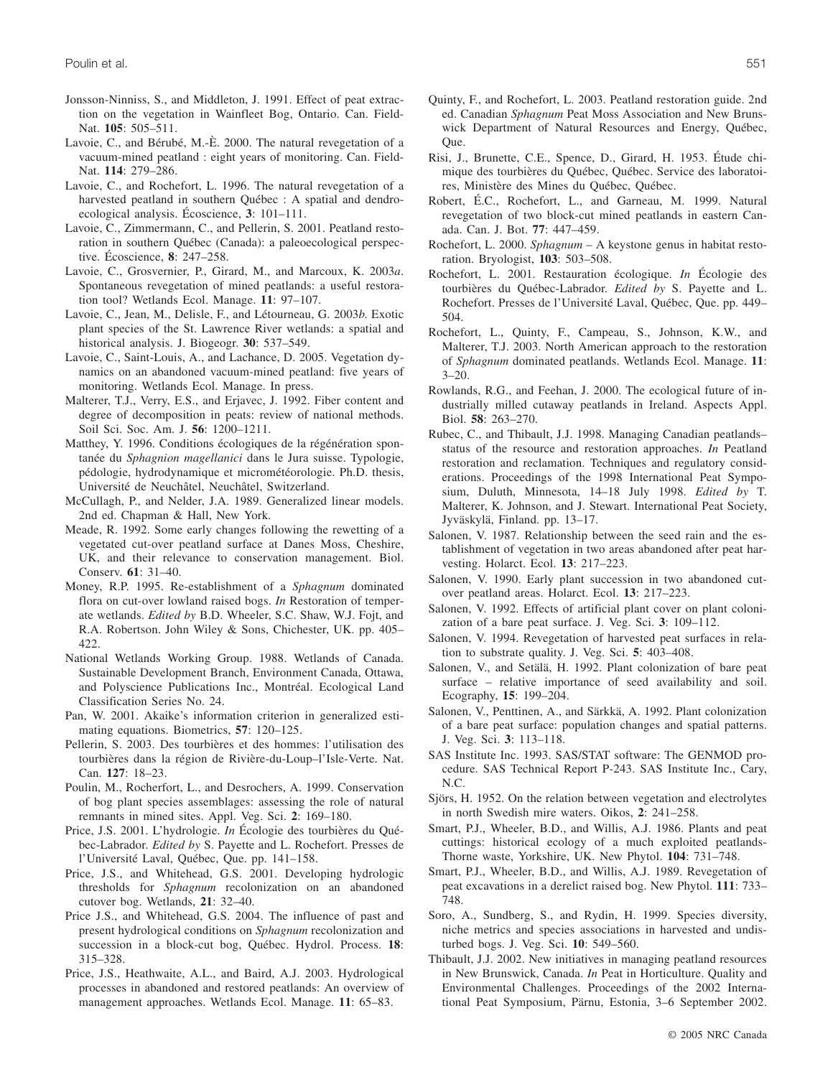- Jonsson-Ninniss, S., and Middleton, J. 1991. Effect of peat extraction on the vegetation in Wainfleet Bog, Ontario. Can. Field-Nat. **105**: 505–511.
- Lavoie, C., and Bérubé, M.-È. 2000. The natural revegetation of a vacuum-mined peatland : eight years of monitoring. Can. Field-Nat. **114**: 279–286.
- Lavoie, C., and Rochefort, L. 1996. The natural revegetation of a harvested peatland in southern Québec : A spatial and dendroecological analysis. Écoscience, **3**: 101–111.
- Lavoie, C., Zimmermann, C., and Pellerin, S. 2001. Peatland restoration in southern Québec (Canada): a paleoecological perspective. Écoscience, **8**: 247–258.
- Lavoie, C., Grosvernier, P., Girard, M., and Marcoux, K. 2003*a*. Spontaneous revegetation of mined peatlands: a useful restoration tool? Wetlands Ecol. Manage. **11**: 97–107.
- Lavoie, C., Jean, M., Delisle, F., and Létourneau, G. 2003*b*. Exotic plant species of the St. Lawrence River wetlands: a spatial and historical analysis. J. Biogeogr. **30**: 537–549.
- Lavoie, C., Saint-Louis, A., and Lachance, D. 2005. Vegetation dynamics on an abandoned vacuum-mined peatland: five years of monitoring. Wetlands Ecol. Manage. In press.
- Malterer, T.J., Verry, E.S., and Erjavec, J. 1992. Fiber content and degree of decomposition in peats: review of national methods. Soil Sci. Soc. Am. J. **56**: 1200–1211.
- Matthey, Y. 1996. Conditions écologiques de la régénération spontanée du *Sphagnion magellanici* dans le Jura suisse. Typologie, pédologie, hydrodynamique et micrométéorologie. Ph.D. thesis, Université de Neuchâtel, Neuchâtel, Switzerland.
- McCullagh, P., and Nelder, J.A. 1989. Generalized linear models. 2nd ed. Chapman & Hall, New York.
- Meade, R. 1992. Some early changes following the rewetting of a vegetated cut-over peatland surface at Danes Moss, Cheshire, UK, and their relevance to conservation management. Biol. Conserv. **61**: 31–40.
- Money, R.P. 1995. Re-establishment of a *Sphagnum* dominated flora on cut-over lowland raised bogs. *In* Restoration of temperate wetlands. *Edited by* B.D. Wheeler, S.C. Shaw, W.J. Fojt, and R.A. Robertson. John Wiley & Sons, Chichester, UK. pp. 405– 422.
- National Wetlands Working Group. 1988. Wetlands of Canada. Sustainable Development Branch, Environment Canada, Ottawa, and Polyscience Publications Inc., Montréal. Ecological Land Classification Series No. 24.
- Pan, W. 2001. Akaike's information criterion in generalized estimating equations. Biometrics, **57**: 120–125.
- Pellerin, S. 2003. Des tourbières et des hommes: l'utilisation des tourbières dans la région de Rivière-du-Loup–l'Isle-Verte. Nat. Can. **127**: 18–23.
- Poulin, M., Rocherfort, L., and Desrochers, A. 1999. Conservation of bog plant species assemblages: assessing the role of natural remnants in mined sites. Appl. Veg. Sci. **2**: 169–180.
- Price, J.S. 2001. L'hydrologie. *In* Écologie des tourbières du Québec-Labrador. *Edited by* S. Payette and L. Rochefort. Presses de l'Université Laval, Québec, Que. pp. 141–158.
- Price, J.S., and Whitehead, G.S. 2001. Developing hydrologic thresholds for *Sphagnum* recolonization on an abandoned cutover bog. Wetlands, **21**: 32–40.
- Price J.S., and Whitehead, G.S. 2004. The influence of past and present hydrological conditions on *Sphagnum* recolonization and succession in a block-cut bog, Québec. Hydrol. Process. **18**: 315–328.
- Price, J.S., Heathwaite, A.L., and Baird, A.J. 2003. Hydrological processes in abandoned and restored peatlands: An overview of management approaches. Wetlands Ecol. Manage. **11**: 65–83.
- Quinty, F., and Rochefort, L. 2003. Peatland restoration guide. 2nd ed. Canadian *Sphagnum* Peat Moss Association and New Brunswick Department of Natural Resources and Energy, Québec, Que.
- Risi, J., Brunette, C.E., Spence, D., Girard, H. 1953. Étude chimique des tourbières du Québec, Québec. Service des laboratoires, Ministère des Mines du Québec, Québec.
- Robert, É.C., Rochefort, L., and Garneau, M. 1999. Natural revegetation of two block-cut mined peatlands in eastern Canada. Can. J. Bot. **77**: 447–459.
- Rochefort, L. 2000. *Sphagnum* A keystone genus in habitat restoration. Bryologist, **103**: 503–508.
- Rochefort, L. 2001. Restauration écologique. *In* Écologie des tourbières du Québec-Labrador. *Edited by* S. Payette and L. Rochefort. Presses de l'Université Laval, Québec, Que. pp. 449– 504.
- Rochefort, L., Quinty, F., Campeau, S., Johnson, K.W., and Malterer, T.J. 2003. North American approach to the restoration of *Sphagnum* dominated peatlands. Wetlands Ecol. Manage. **11**:  $3 - 20.$
- Rowlands, R.G., and Feehan, J. 2000. The ecological future of industrially milled cutaway peatlands in Ireland. Aspects Appl. Biol. **58**: 263–270.
- Rubec, C., and Thibault, J.J. 1998. Managing Canadian peatlands– status of the resource and restoration approaches. *In* Peatland restoration and reclamation. Techniques and regulatory considerations. Proceedings of the 1998 International Peat Symposium, Duluth, Minnesota, 14–18 July 1998. *Edited by* T. Malterer, K. Johnson, and J. Stewart. International Peat Society, Jyväskylä, Finland. pp. 13–17.
- Salonen, V. 1987. Relationship between the seed rain and the establishment of vegetation in two areas abandoned after peat harvesting. Holarct. Ecol. **13**: 217–223.
- Salonen, V. 1990. Early plant succession in two abandoned cutover peatland areas. Holarct. Ecol. **13**: 217–223.
- Salonen, V. 1992. Effects of artificial plant cover on plant colonization of a bare peat surface. J. Veg. Sci. **3**: 109–112.
- Salonen, V. 1994. Revegetation of harvested peat surfaces in relation to substrate quality. J. Veg. Sci. **5**: 403–408.
- Salonen, V., and Setälä, H. 1992. Plant colonization of bare peat surface – relative importance of seed availability and soil. Ecography, **15**: 199–204.
- Salonen, V., Penttinen, A., and Särkkä, A. 1992. Plant colonization of a bare peat surface: population changes and spatial patterns. J. Veg. Sci. **3**: 113–118.
- SAS Institute Inc. 1993. SAS/STAT software: The GENMOD procedure. SAS Technical Report P-243. SAS Institute Inc., Cary, N.C.
- Sjörs, H. 1952. On the relation between vegetation and electrolytes in north Swedish mire waters. Oikos, **2**: 241–258.
- Smart, P.J., Wheeler, B.D., and Willis, A.J. 1986. Plants and peat cuttings: historical ecology of a much exploited peatlands-Thorne waste, Yorkshire, UK. New Phytol. **104**: 731–748.
- Smart, P.J., Wheeler, B.D., and Willis, A.J. 1989. Revegetation of peat excavations in a derelict raised bog. New Phytol. **111**: 733– 748.
- Soro, A., Sundberg, S., and Rydin, H. 1999. Species diversity, niche metrics and species associations in harvested and undisturbed bogs. J. Veg. Sci. **10**: 549–560.
- Thibault, J.J. 2002. New initiatives in managing peatland resources in New Brunswick, Canada. *In* Peat in Horticulture. Quality and Environmental Challenges. Proceedings of the 2002 International Peat Symposium, Pärnu, Estonia, 3–6 September 2002.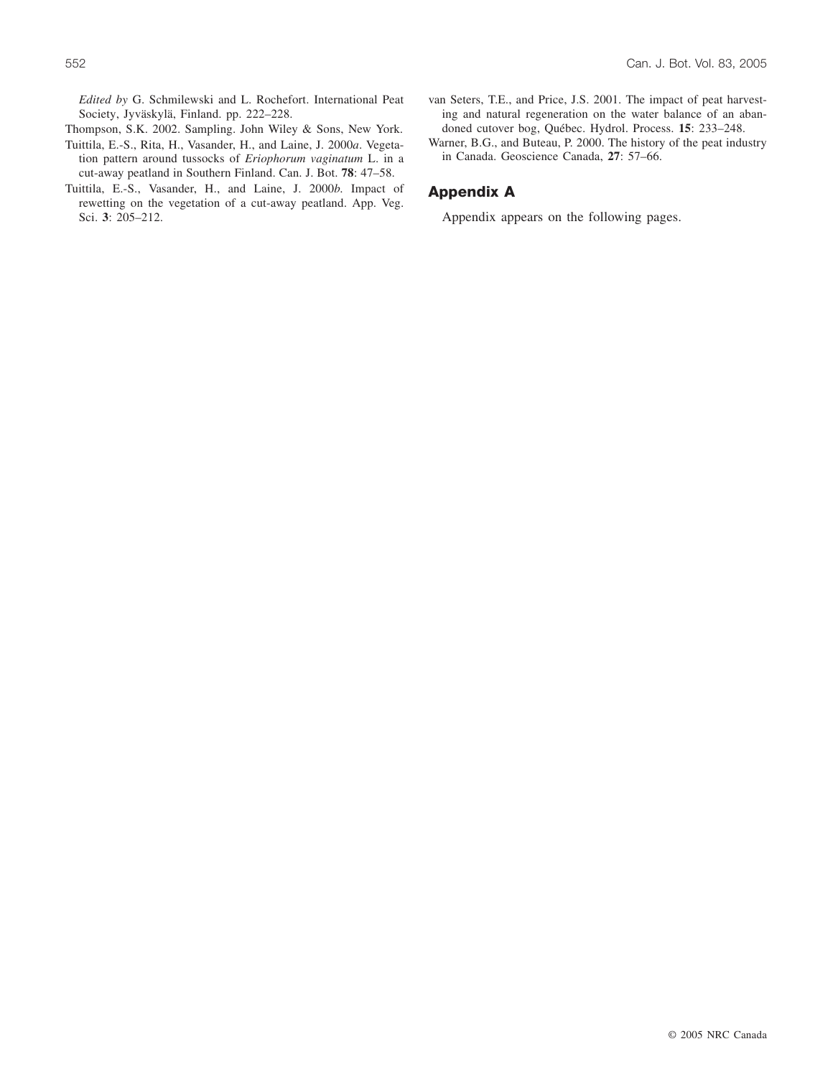*Edited by* G. Schmilewski and L. Rochefort. International Peat Society, Jyväskylä, Finland. pp. 222–228.

Thompson, S.K. 2002. Sampling. John Wiley & Sons, New York.

- Tuittila, E.-S., Rita, H., Vasander, H., and Laine, J. 2000*a*. Vegetation pattern around tussocks of *Eriophorum vaginatum* L. in a cut-away peatland in Southern Finland. Can. J. Bot. **78**: 47–58.
- Tuittila, E.-S., Vasander, H., and Laine, J. 2000*b*. Impact of rewetting on the vegetation of a cut-away peatland. App. Veg. Sci. **3**: 205–212.
- van Seters, T.E., and Price, J.S. 2001. The impact of peat harvesting and natural regeneration on the water balance of an abandoned cutover bog, Québec. Hydrol. Process. **15**: 233–248.
- Warner, B.G., and Buteau, P. 2000. The history of the peat industry in Canada. Geoscience Canada, **27**: 57–66.

### **Appendix A**

Appendix appears on the following pages.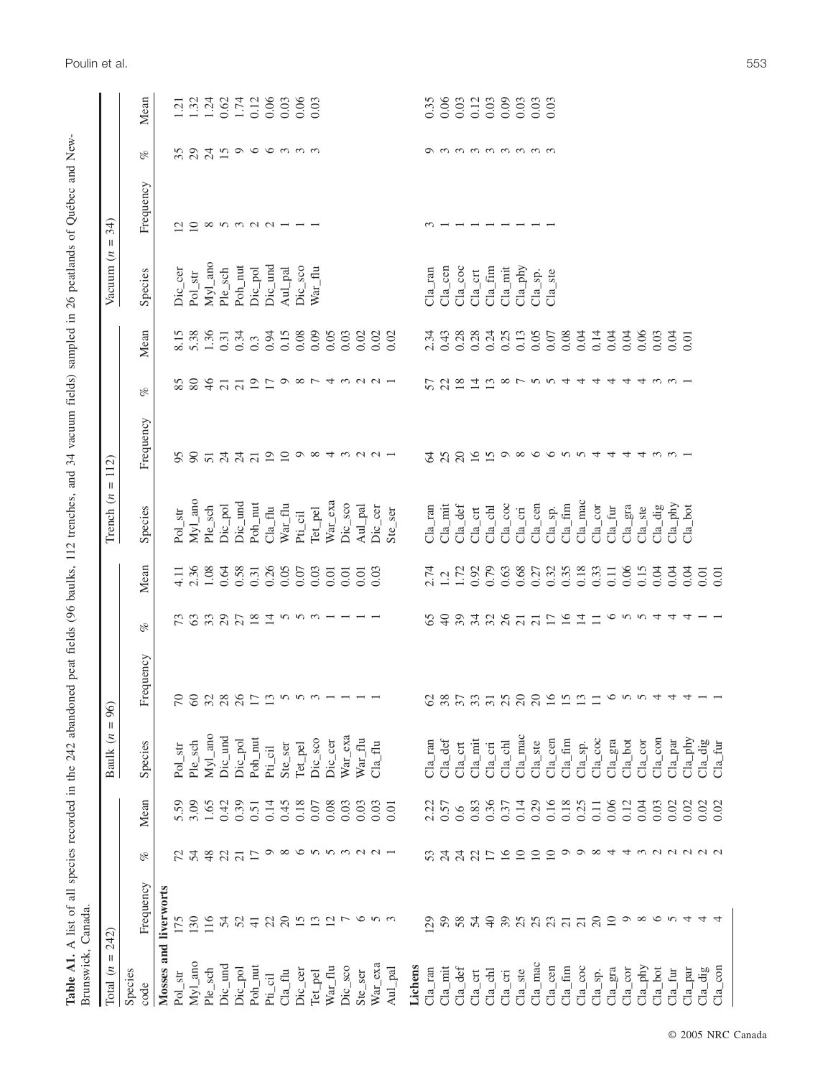| Brunswick, Canada.<br>Total                      |                                                          |                                                          |      |                                                | 96)                                                                                                                                                                                                                                                                |                                   |          |                                            |                                      |                                                    |                  |                                           |                               |                              |                                                     |
|--------------------------------------------------|----------------------------------------------------------|----------------------------------------------------------|------|------------------------------------------------|--------------------------------------------------------------------------------------------------------------------------------------------------------------------------------------------------------------------------------------------------------------------|-----------------------------------|----------|--------------------------------------------|--------------------------------------|----------------------------------------------------|------------------|-------------------------------------------|-------------------------------|------------------------------|-----------------------------------------------------|
| Ш<br>$\epsilon$                                  | 242)                                                     |                                                          |      | $\mathbf{H}$<br>$\epsilon$<br><b>Baulk</b>     |                                                                                                                                                                                                                                                                    |                                   |          | $\ensuremath{\mathsf{II}}$<br>Trench $(n)$ | 112                                  |                                                    |                  | Vacuum $(n)$                              | 34)<br>$\mathbf{H}$           |                              |                                                     |
| Species<br>code                                  | Frequency                                                | oz                                                       | Mean | Species                                        | Frequency                                                                                                                                                                                                                                                          | of                                | Mean     | Species                                    | Frequency                            | oz                                                 | Mean             | Species                                   | Frequency                     | of                           | Mean                                                |
| Mosses and liverworts                            |                                                          |                                                          |      |                                                |                                                                                                                                                                                                                                                                    |                                   |          |                                            |                                      |                                                    |                  |                                           |                               |                              |                                                     |
| $\overline{\text{str}}$<br>Pol                   | 175                                                      | $\sim$                                                   | 5.59 | $\operatorname{Pol\_str}$                      | 70                                                                                                                                                                                                                                                                 | 73                                | 4.11     | $\rm Pol\_str$                             | 95                                   | 5<br>$\infty$                                      | 8.15             | $Dic\_c$ er                               | $\frac{10}{10}$               | 334                          | $\overline{121}$                                    |
| $Myl$ _ano                                       | 130                                                      | 54                                                       | 3.09 | Ple_sch                                        | 60                                                                                                                                                                                                                                                                 | 63                                | 2.36     | $Myl$ _ano                                 | $\infty$                             | 80                                                 | 5.38             | $Pol\_str$                                |                               |                              | $1.\overline{31}$<br>$1.\overline{24}$              |
| Ple_sch                                          | 116                                                      | 48                                                       | 1.65 | $\ensuremath{\mathrm{Myl\_ano}}$               | 32                                                                                                                                                                                                                                                                 | 33                                | 1.08     | Ple_sch                                    | $\overline{51}$                      | 46                                                 | 1.36             | $Myl_$ ano                                |                               |                              |                                                     |
| Dic_und                                          | 54                                                       | 22                                                       | 0.42 | Dic_und                                        | $28$<br>26                                                                                                                                                                                                                                                         | 29                                | 0.64     | Dic_pol                                    |                                      | $\frac{1}{21}$                                     | 0.31             | Ple_sch                                   |                               |                              |                                                     |
| Dic_pol                                          | 52                                                       | $\overline{21}$                                          | 0.39 | Dic_pol                                        |                                                                                                                                                                                                                                                                    |                                   | 0.58     | Dic_und                                    | ನೆ ನೆ ನ                              |                                                    | 0.34             | $\ensuremath{\text{Poh}}\xspace_\text{m}$ |                               |                              |                                                     |
| $\ensuremath{\text{Poh\_nut}}$                   | $\frac{1}{4}$                                            |                                                          | 0.51 | $\ensuremath{\mathsf{Poh}}\xspace_\text{-mut}$ |                                                                                                                                                                                                                                                                    |                                   | 0.31     | $\ensuremath{\text{Poh\_nut}}$             |                                      |                                                    | $0.\overline{3}$ | Dic_pol                                   |                               |                              |                                                     |
| Pi <sub>c1</sub>                                 | 22                                                       |                                                          | 0.14 | Pti_cil                                        | $\begin{array}{c} \square \enspace \square \enspace \triangleright \enspace \shortrow \enspace \shortrow \\ \square \enspace \enspace \square \enspace \shortrow \enspace \shortrow \\ \shortbox{0} \enspace \enspace \shortrow \enspace \shortrow \\ \end{array}$ | $\frac{80}{24}$ and $\frac{1}{2}$ | 0.26     | C1a                                        |                                      | 25                                                 | 0.94             | Dic_und                                   | $\infty$ $\sim$ $\sim$ $\sim$ | $\frac{1}{11}$ a b b a m m m |                                                     |
| $\mathrm{Cla\_flu}$                              | $20\,$                                                   |                                                          | 0.45 | Ste_ser                                        |                                                                                                                                                                                                                                                                    |                                   | 0.05     | $\text{War}\_\text{flu}$                   |                                      |                                                    | 0.15             | Aul_pal                                   |                               |                              |                                                     |
| Dic_cer                                          |                                                          |                                                          | 0.18 | Tet_pel                                        |                                                                                                                                                                                                                                                                    |                                   | 0.07     | $Pti$ _cil                                 |                                      |                                                    | 0.08             | Dic_sco                                   |                               |                              |                                                     |
| Tet_pel                                          |                                                          |                                                          | 0.07 | Dic_sco                                        |                                                                                                                                                                                                                                                                    |                                   | 0.03     | Tet_pel                                    |                                      |                                                    | 0.09             | $War\_flu$                                |                               |                              |                                                     |
| $\ensuremath{\text{War}\xspace_\perp\text{flu}}$ |                                                          |                                                          | 0.08 | Dic_cer                                        |                                                                                                                                                                                                                                                                    |                                   | 0.01     | $War\_exa$                                 |                                      |                                                    | 0.05             |                                           |                               |                              |                                                     |
| Dic_sco                                          |                                                          |                                                          | 0.03 | $\text{War\_exa}$                              |                                                                                                                                                                                                                                                                    |                                   | 0.01     | Dic_sco                                    |                                      |                                                    | 0.03             |                                           |                               |                              |                                                     |
| Ste_ser                                          |                                                          |                                                          | 0.03 | $\text{War}\_\text{flu}$                       |                                                                                                                                                                                                                                                                    |                                   | 0.01     | Aul_pal                                    |                                      |                                                    | 0.02             |                                           |                               |                              |                                                     |
| $War\_exa$                                       | $\begin{array}{c}\n5 & 2 \\ 1 & 3 \\ 2 & 4\n\end{array}$ | $\Gamma$ o $\infty$ o $\sim$ $\sim$ $\sim$ $\sim$ $\sim$ | 0.03 | $Cla_{n}$ flu                                  |                                                                                                                                                                                                                                                                    |                                   | 0.03     | Dic_cer                                    | $999$ $\infty$ $4 \infty$ $\sim$ $-$ | $0$ $\infty$ $\sim$ $+$ $\infty$ $\sim$ $\sim$ $-$ | 0.02             |                                           |                               |                              |                                                     |
| Aul_pal                                          |                                                          |                                                          | 0.01 |                                                |                                                                                                                                                                                                                                                                    |                                   |          | Ste_ser                                    |                                      |                                                    | 0.02             |                                           |                               |                              |                                                     |
| Lichens                                          |                                                          |                                                          |      |                                                |                                                                                                                                                                                                                                                                    |                                   |          |                                            |                                      |                                                    |                  |                                           |                               |                              |                                                     |
| $\mathrm{Cla\_ran}$                              | 129                                                      | 53                                                       | 2.22 | $Cla_T$ an                                     | 62                                                                                                                                                                                                                                                                 | $\mathcal{S}$                     | 2.74     | $\mathrm{Cla\_ran}$                        | 2                                    | 57                                                 | 2.34             | $Cla\_ran$                                |                               |                              | $\begin{array}{c} 0.35 \\ 0.06 \\ 0.03 \end{array}$ |
| $Cla$ <sub>_mit</sub>                            | 59                                                       | $\overline{24}$                                          | 0.57 | $Cla$ def                                      | 85.3758888                                                                                                                                                                                                                                                         | $\overline{a}$                    | 1.72     | $Cla$ mit                                  | 25                                   |                                                    | 0.43             | $C1a_{c}$ cen                             | $m - 1$                       | onnmmmmmm                    |                                                     |
| $Cla$ <sub>-def</sub>                            | 58                                                       |                                                          | 0.6  | $Cla\_crt$                                     |                                                                                                                                                                                                                                                                    | 39                                |          | $Cla$ <sub>_def</sub>                      |                                      |                                                    | 0.28             | $C1a_{C}$ coc                             |                               |                              |                                                     |
| $\mathrm{Cla\_crt}$                              | 54                                                       | 242                                                      | 0.83 | $Cla\_mit$                                     |                                                                                                                                                                                                                                                                    |                                   | 0.92     | $Cla_{cr}$ t                               |                                      |                                                    | 0.28             | $Cla_{c}$ crt                             |                               |                              |                                                     |
| $Cla$ <sub>_chl</sub>                            | $\overline{4}$                                           |                                                          | 0.36 | $Cla_{\rm c}$ cri                              |                                                                                                                                                                                                                                                                    |                                   | 0.79     | $C1a$ _chl                                 |                                      |                                                    | 0.24             | $Cla_$ _fim                               |                               |                              |                                                     |
| $Cla_{c}$ cri                                    | 3040                                                     | $\overline{16}$                                          | 0.37 | Cla_chl                                        |                                                                                                                                                                                                                                                                    |                                   | 0.63     | $Cla_{\_}coc$                              | 10 m 9 x 9 6 6 7 5 4 4 4 4 5 6 7 8   |                                                    | 0.25             | Cla_mit                                   |                               |                              | 0.03<br>0.03<br>0.03<br>0.03                        |
| $Cla\_ste$                                       |                                                          | $\overline{10}$                                          | 0.14 | $Cla$ <sub>_</sub> mac                         |                                                                                                                                                                                                                                                                    |                                   | 0.68     | $Cla_{\_}cri$                              |                                      |                                                    | 0.13             | $Cla$ <sub>-phy</sub>                     |                               |                              |                                                     |
| $Cla\_mac$                                       |                                                          | $\supseteq$                                              | 0.29 | $Cla$ <sub>_ste</sub>                          |                                                                                                                                                                                                                                                                    |                                   | 0.27     | $Cla_{c}$ cen                              |                                      |                                                    | 0.05             | $Cla$ <sub>-Sp</sub> .                    |                               |                              |                                                     |
| $Cla$ <sub>_cen</sub>                            | 23                                                       | $\overline{10}$                                          | 0.16 | $Cla$ <sub>cen</sub>                           | $16\,$                                                                                                                                                                                                                                                             | けんはけんこう4441                       | 0.32     | $Cla$ <sub>-Sp</sub> .                     |                                      |                                                    | 0.07             | $Cla\_ste$                                |                               |                              |                                                     |
| $Cla\_fin$                                       |                                                          |                                                          | 0.18 | $Cla\_fim$                                     |                                                                                                                                                                                                                                                                    |                                   | 0.35     | $Cla\_fim$                                 |                                      |                                                    | 0.08             |                                           |                               |                              |                                                     |
| $Cla_{\_}coc$                                    | $\overline{21}$                                          |                                                          | 0.25 | $Cla$ <sub>-Sp</sub> .                         | $\frac{15}{13}$                                                                                                                                                                                                                                                    |                                   | $0.18\,$ | $Cla$ _mac                                 |                                      |                                                    | 0.04             |                                           |                               |                              |                                                     |
| $Cla$ <sub>-Sp</sub> .                           | $\overline{c}$                                           |                                                          | 0.11 | $Cla_{\_}coc$                                  |                                                                                                                                                                                                                                                                    |                                   | 0.33     | $Cla_{\rm \_COT}$                          |                                      |                                                    | 0.14             |                                           |                               |                              |                                                     |
| $Cla\_gra$                                       | $\overline{10}$                                          |                                                          | 0.06 | $Cla_{gra}$                                    | $\circ$                                                                                                                                                                                                                                                            |                                   | $0.11$   | $Cla$ <sub><math>\_\</math>fur</sub>       |                                      |                                                    | 0.04             |                                           |                               |                              |                                                     |
| $Cla$ <sub>-COT</sub>                            |                                                          |                                                          | 0.12 | $Cla_$ bot                                     |                                                                                                                                                                                                                                                                    |                                   | 0.06     | $Cla_{gra}$                                |                                      |                                                    | 0.04             |                                           |                               |                              |                                                     |
| $Cla$ <sub>-phy</sub>                            | $0 \times 0 \times 4$                                    |                                                          | 0.04 | $Cla_{C}$ or                                   | $N$ $N$ $4$                                                                                                                                                                                                                                                        |                                   | 0.15     | $Cla\_ste$                                 |                                      |                                                    | 0.06             |                                           |                               |                              |                                                     |
| $Cla\_bot$                                       |                                                          |                                                          | 0.03 | $Cla_{\_}con$                                  |                                                                                                                                                                                                                                                                    |                                   | 0.04     | $Cla_d$ dig                                |                                      |                                                    | 0.03             |                                           |                               |                              |                                                     |
| $\mathrm{Cla\_fur}$                              |                                                          |                                                          | 0.02 | $Cla\_par$                                     | $\overline{\mathcal{A}}$                                                                                                                                                                                                                                           |                                   | 0.04     | $Cla$ <sub>-phy</sub>                      |                                      |                                                    | 0.04             |                                           |                               |                              |                                                     |
| $Cla$ <sub>-</sub> par                           |                                                          |                                                          | 0.02 | $Cla$ <sub>-Phy</sub>                          | $\overline{4}$                                                                                                                                                                                                                                                     |                                   | 0.04     | $Cla\_bot$                                 |                                      |                                                    | 0.01             |                                           |                               |                              |                                                     |
| $\mathrm{Cla\_dig}$                              | 4                                                        | O O X 4 4 W N N N N N                                    | 0.02 | $\mathrm{Cla\_dig}$                            |                                                                                                                                                                                                                                                                    |                                   | 0.01     |                                            |                                      |                                                    |                  |                                           |                               |                              |                                                     |
| $Cla_{\_}con$                                    |                                                          |                                                          | 0.02 | $Cla$ <sub>_fur</sub>                          |                                                                                                                                                                                                                                                                    |                                   |          |                                            |                                      |                                                    |                  |                                           |                               |                              |                                                     |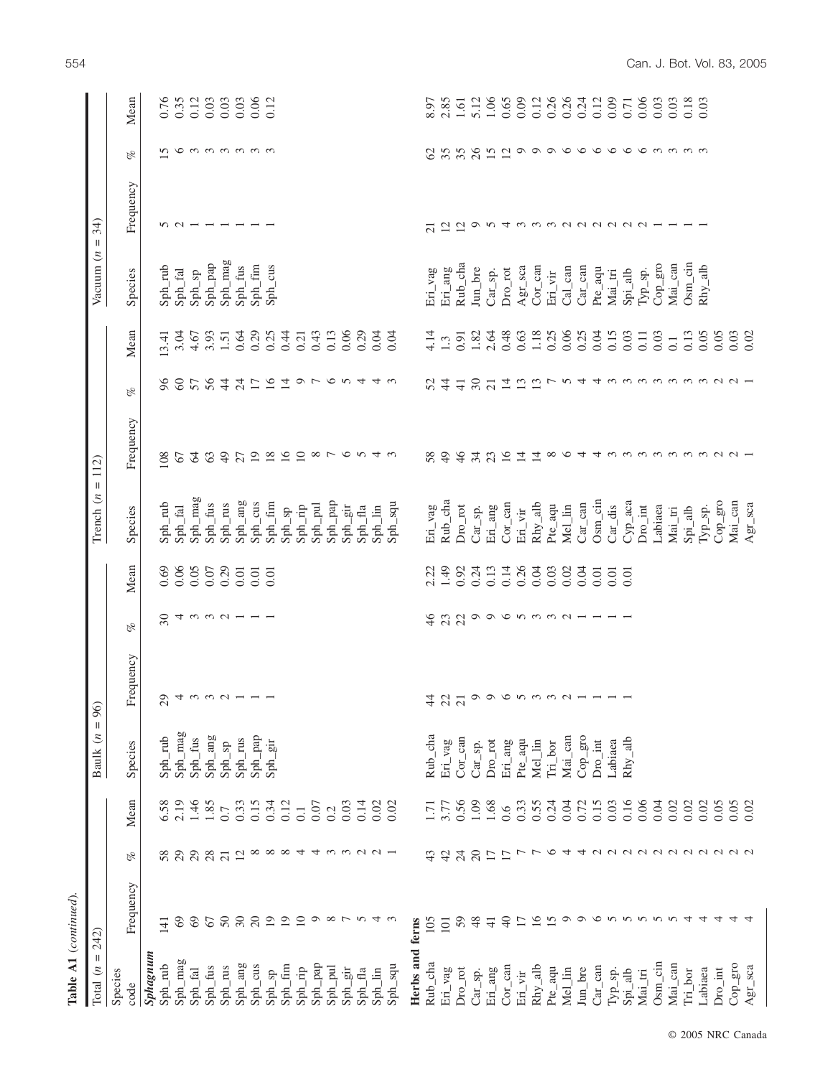| $Table A1$ (continued).                          |                        |                          |                  |                               |                                                                                              |                                                         |        |                                       |                          |                                                                                                 |                  |                               |                          |                           |                                       |
|--------------------------------------------------|------------------------|--------------------------|------------------|-------------------------------|----------------------------------------------------------------------------------------------|---------------------------------------------------------|--------|---------------------------------------|--------------------------|-------------------------------------------------------------------------------------------------|------------------|-------------------------------|--------------------------|---------------------------|---------------------------------------|
| Ш<br>Total $(n)$                                 | 242)                   |                          |                  | $\, \parallel$<br>Baulk $(n)$ | $\mathcal{Q}(\mathcal{O})$                                                                   |                                                         |        | $\mathbf{I}$<br>Trench $(n)$          | 112)                     |                                                                                                 |                  | Vacuum $(n)$                  | 34)<br>$\mathbf{I}$      |                           |                                       |
| Species<br>code                                  | Frequency              | $\mathscr{C}$            | Mean             | Species                       | Frequency                                                                                    | oz.                                                     | Mean   | Species                               | Frequency                | $\mathscr{C}$                                                                                   | Mean             | Species                       | Frequency                | oz.                       | Mean                                  |
| Sphagnum                                         |                        |                          |                  |                               |                                                                                              |                                                         |        |                                       |                          |                                                                                                 |                  |                               |                          |                           |                                       |
| $Spin_$ rub                                      | 141                    | 58                       | 6.58             | Sph_rub                       | $\sim$                                                                                       | $\overline{\mathrm{30}}$                                | 0.69   | Sph_rub                               | 108                      | 66                                                                                              | 13.41            | $Sph\_rub$                    |                          | n                         | 0.76                                  |
| Sph_mag                                          | 69                     | 29                       | 2.19             | Sph_mag                       |                                                                                              |                                                         | 0.06   | Sph_fal                               | 67                       | $\infty$                                                                                        | 3.04             | $Sph\_fal$                    | $200 -$                  |                           | 0.35                                  |
| Sph_fal                                          | 69                     | 29                       |                  | Sph_fus                       |                                                                                              |                                                         | 0.05   | Sph_mag                               | $\mathcal{Z}$            | 57                                                                                              | 4.67             | $\mathrm{Sph\_sp}$            |                          |                           |                                       |
| Sph_fus                                          | 67                     | 28                       | 1.46             | Sph_ang                       |                                                                                              |                                                         | $0.07$ | Sph_fus                               | 63                       | 56                                                                                              | 3.93             | $\mathrm{Sph}\_ \mathrm{pap}$ | $\overline{\phantom{0}}$ |                           | $\frac{0.12}{0.03}$                   |
| Sph_rus                                          | 50                     | $\overline{21}$          | 0.7              | Sph_sp                        |                                                                                              |                                                         | 0.29   | Sph_rus                               | 49                       | $\frac{4}{4}$                                                                                   | 1.51             | Sph_mag                       |                          |                           | 0.03                                  |
| $Sph\_ang$                                       | 30                     | 12                       | 0.33             | Sph_rus                       | 9.49999999                                                                                   | $4 w w w -$                                             | 0.01   | Sph_ang                               | 27                       | $\overline{24}$                                                                                 | 0.64             | Sph_fus                       |                          | 00000000                  | $0.03$<br>$0.06$                      |
| Sph_cus                                          | 20                     |                          | 0.15             | Sph_pap                       |                                                                                              |                                                         | 0.01   | Sph_cus                               | 19                       | 17                                                                                              | 0.29             | $Spin_$ fim                   |                          |                           |                                       |
| $Sph\_sp$                                        | $\overline{19}$        | $\infty \infty \infty$ 4 | $0.34$<br>$0.12$ | $Sph\_gir$                    |                                                                                              |                                                         | 0.01   | Sph_fim                               | $\frac{8}{16}$           | $\overline{16}$                                                                                 | 0.25             | Sph_cus                       |                          |                           | 0.12                                  |
| Sph_fim                                          | 19                     |                          |                  |                               |                                                                                              |                                                         |        | $\mathrm{Sph}_-\mathrm{sp}$           |                          | $\vec{a}$ $\upsilon$ $\upsilon$ $\upsilon$ $\alpha$ $\alpha$ $\alpha$                           | 0.44             |                               |                          |                           |                                       |
| $Sph\_rip$                                       | 10                     |                          | $\overline{0}$ . |                               |                                                                                              |                                                         |        | $Sph\_rip$                            | $\overline{10}$          |                                                                                                 | 0.21             |                               |                          |                           |                                       |
| $\mathrm{Sph}\_ \mathrm{pap}$                    |                        |                          | 0.07             |                               |                                                                                              |                                                         |        | $Sph\_pul$                            |                          |                                                                                                 | 0.43             |                               |                          |                           |                                       |
| $Sph\_pul$                                       | $\circ$ $\circ$ $\sim$ |                          | 0.2              |                               |                                                                                              |                                                         |        | $Sph\_pap$                            | $\infty$ $\sim$ $\infty$ |                                                                                                 | 0.13             |                               |                          |                           |                                       |
| $\mathrm{Sph}\_{\mathrm{gir}}$                   |                        |                          | 0.03             |                               |                                                                                              |                                                         |        | $Sph\_gir$                            |                          |                                                                                                 | 0.06             |                               |                          |                           |                                       |
| Sph_fla                                          |                        |                          | 0.14             |                               |                                                                                              |                                                         |        | Sph_fla                               |                          |                                                                                                 | 0.29             |                               |                          |                           |                                       |
| $Sph$ $\lim$                                     | v4                     |                          | 0.02             |                               |                                                                                              |                                                         |        | $Sph$ $lin$                           | n 4 w                    |                                                                                                 | 0.04             |                               |                          |                           |                                       |
| $Sph\_squ$                                       |                        |                          | 0.02             |                               |                                                                                              |                                                         |        | Sph_squ                               |                          |                                                                                                 | 0.04             |                               |                          |                           |                                       |
| Herbs and ferns                                  |                        |                          |                  |                               |                                                                                              |                                                         |        |                                       |                          |                                                                                                 |                  |                               |                          |                           |                                       |
| $Rub$ _cha                                       | 105                    | 43                       | 1.71             | Rub_cha                       | $\frac{4}{4}$                                                                                | $\frac{4}{6}$                                           | 2.22   | Eri_vag                               | 58                       |                                                                                                 | 4.14             | Eri_vag                       | $\overline{21}$          | $\mathcal{L}$             | 8.97                                  |
| Eri_vag                                          | 101                    | $\frac{1}{4}$            | 3.77             | Eri_vag                       |                                                                                              |                                                         | 1.49   | Rub_cha                               | $^{49}$                  | $\frac{4}{3}$                                                                                   | 1.3              | Eri_ang                       |                          |                           | 2.85                                  |
| $\mathrm{Dro\_rot}$                              | 59                     | 24                       | 0.56             | $Cor\_can$                    | 22                                                                                           | 23                                                      | 0.92   | Dro_rot                               | 46                       | $\frac{1}{4}$                                                                                   | 0.91             | Rub_cha                       | $\frac{2}{12}$           |                           | 1.61                                  |
| $Car\_sp.$                                       | 48                     | 20                       | 1.09             | $Car_sp.$                     | $\circledcirc \circledcirc \circledcirc \circledcirc \circledcirc \circledcirc \circledcirc$ |                                                         | 0.24   | $Car_sp.$                             | 34                       | 30                                                                                              | 1.82             | $_{\text{Jun}\_}$ bre         | $\circ$                  | 3580                      | 5.12                                  |
| Eri_ang                                          | $\overline{4}$         | $\overline{17}$          | 1.68             | $Dro_rot$                     |                                                                                              |                                                         | 0.13   | Eri_ang                               | $\frac{23}{16}$          | $\overline{21}$                                                                                 | 2.64             | $Car_sp.$                     |                          | $15$ $12$                 |                                       |
| $Cor\_can$                                       | 40                     | $\overline{17}$          | 0.6              | Eri_ang                       |                                                                                              |                                                         | 0.14   | $Cor\_can$                            |                          | $\frac{4}{1}$ $\frac{3}{2}$                                                                     | 0.48             | $\mathrm{Dro\_rot}$           |                          |                           |                                       |
| $\rm Eri\_vir$                                   | 17                     | $\overline{ }$           | 0.33             | $\mbox{Pre\_aqu}$             |                                                                                              |                                                         | 0.26   | $\operatorname{Eri}\_ {\mathrm{vir}}$ | $\overline{4}$           |                                                                                                 | 0.63             | Agr_sca                       |                          |                           |                                       |
| $Rhy_alt$                                        | 16                     | $\overline{ }$           | 0.55             | Mel_lin                       |                                                                                              | $\circ \circ \circ \circ \circ \circ \circ \circ \circ$ | 0.04   | $Rhy_alk$                             | $\overline{1}$           |                                                                                                 | 1.18<br>0.25     | $Cor\_can$                    | ち 4 さ さ さ 2 2 2 2 2 2 1  | $\circ \circ \circ \circ$ | 1.06<br>0.65<br>0.012<br>0.26<br>0.26 |
| Pte_aqu                                          | 15                     | $\circ$                  | 0.24             | $Tri\_bor$                    |                                                                                              |                                                         | 0.03   | Pte_aqu                               | $\infty$ $\infty$        |                                                                                                 |                  | $\operatorname{Eri\_vir}$     |                          |                           |                                       |
| Mel_lin                                          | $\circ$                | 4                        | 0.04             | $Mai\_can$                    |                                                                                              |                                                         | 0.02   | Mel_lin                               |                          |                                                                                                 | 0.06             | $Cal\_can$                    |                          |                           |                                       |
| $_{\text{Jun}\_}$ bre                            | $\circ$                |                          | 0.72             | $Cop\_gro$                    |                                                                                              |                                                         | 0.04   | $Car\_can$                            | $\overline{4}$           |                                                                                                 | 0.25             | $Car\_can$                    |                          | $\circ$                   | $0.24$<br>$0.12$                      |
| $Car\_can$                                       | $\circ$                |                          | 0.15             | $Dro\_int$                    |                                                                                              |                                                         | 0.01   | $Osm\_cin$                            |                          |                                                                                                 | 0.04             | Pte_aqu                       |                          |                           |                                       |
| $\ensuremath{\mathrm{Typ}}\xspace_\textit{-SP}.$ | nnnnn                  |                          | 0.03             | Labiaea                       |                                                                                              |                                                         | 0.01   | $Car\_dis$                            |                          |                                                                                                 | 0.15             | $\text{Mai\_tri}$             |                          | $\circ \circ \circ$       | 0.09                                  |
| $Spin\_alb$                                      |                        |                          | 0.16             | $Rhy_alk$                     |                                                                                              |                                                         | 0.01   | Cyp_aca                               |                          |                                                                                                 | 0.03             | $Spin\_alb$                   |                          |                           | $0.71$<br>$0.06$                      |
| $Mai\_tri$                                       |                        |                          | 0.06             |                               |                                                                                              |                                                         |        | $Dro\_int$                            |                          |                                                                                                 | $0.11$           | Typ_sp.                       |                          | $\circ$ mmmm              |                                       |
| $Osm\_cin$                                       |                        |                          | 0.04             |                               |                                                                                              |                                                         |        | Labiaea                               |                          |                                                                                                 | 0.03             | Cop_gro                       |                          |                           | 0.03                                  |
| $Mai\_can$                                       |                        |                          | 0.02             |                               |                                                                                              |                                                         |        | Mai_tri                               |                          |                                                                                                 | $\overline{0}$ . | $Mai\_can$                    |                          |                           | 0.03                                  |
| $Tri\_bor$                                       |                        |                          | 0.02             |                               |                                                                                              |                                                         |        | $Spin\_alb$                           |                          |                                                                                                 | 0.13             | $Osm\_cin$                    |                          |                           | 0.18                                  |
| Labiaea                                          | $\overline{4}$         |                          | 0.02             |                               |                                                                                              |                                                         |        | $Type_sp.$                            |                          |                                                                                                 | 0.05             | $Rhy_alt$                     |                          |                           | 0.03                                  |
| $Dro\_int$                                       | 4                      |                          | 0.05             |                               |                                                                                              |                                                         |        | Cop_gro                               |                          |                                                                                                 | 0.05             |                               |                          |                           |                                       |
| $Cop\_gro$                                       | 4                      |                          | 0.05             |                               |                                                                                              |                                                         |        | $Mai\_can$                            | 4.0.0.0.0.0.0.0.0.4      | $\vec{u} \rightarrow u \rightarrow 4 \omega \omega \omega \omega \omega \omega \omega \omega -$ | 0.03             |                               |                          |                           |                                       |
| Agr_sca                                          |                        |                          | 0.02             |                               |                                                                                              |                                                         |        | Agr_sca                               |                          |                                                                                                 | 0.02             |                               |                          |                           |                                       |

© 2005 NRC Canada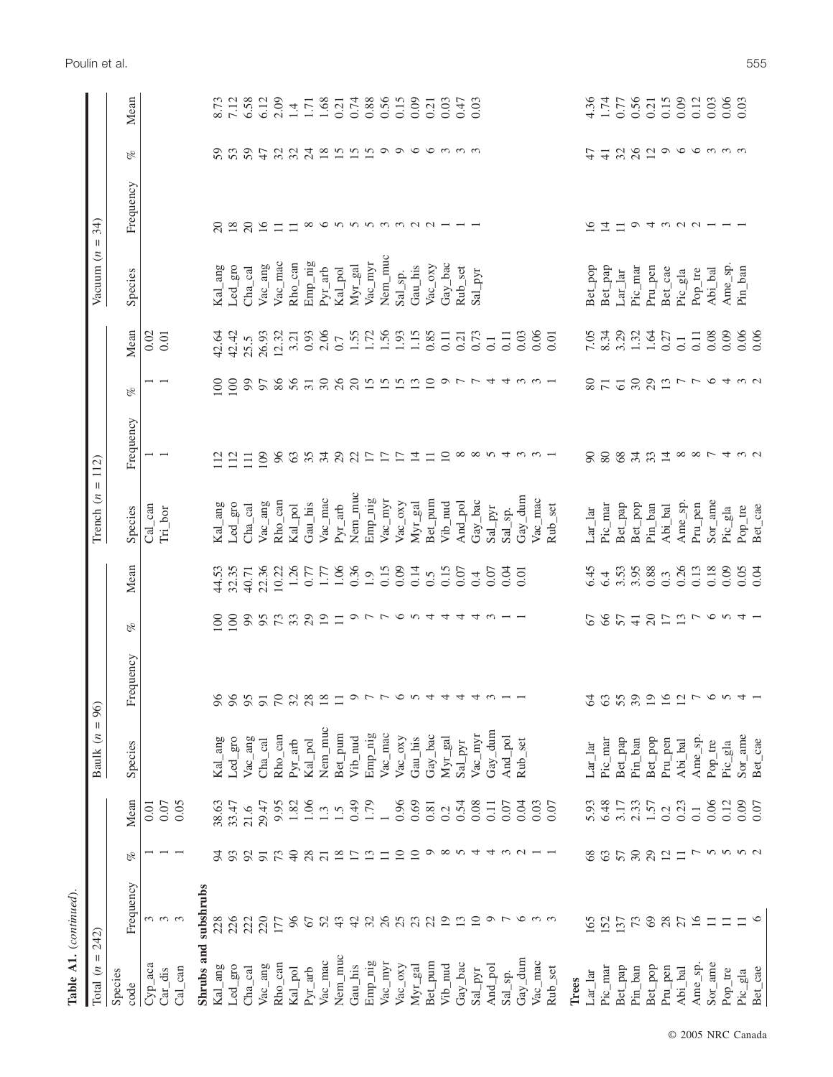| <b>Table A1.</b> ( <i>continued</i> )                  |                            |                 |                  |                                                      |                          |                          |       |                                           |                                       |                  |                  |                                          |                                                                                            |                                                                                     |                     |
|--------------------------------------------------------|----------------------------|-----------------|------------------|------------------------------------------------------|--------------------------|--------------------------|-------|-------------------------------------------|---------------------------------------|------------------|------------------|------------------------------------------|--------------------------------------------------------------------------------------------|-------------------------------------------------------------------------------------|---------------------|
| Ш<br>Total $(n)$                                       | 242)                       |                 |                  | $\mid \mid$<br>Baulk $(n$                            | 96)                      |                          |       | $\ensuremath{\mathsf{H}}$<br>Trench $(n)$ | 112)                                  |                  |                  | Vacuum $(n)$                             | 34)<br>$\label{eq:1} \prod_{i=1}^n \mathbb{E}[\mathbf{1}_{\mathcal{A}_i}^{\mathcal{A}_i}]$ |                                                                                     |                     |
| Species<br>code                                        | Frequency                  | of              | Mean             | Species                                              | Frequency                | C <sub>K</sub>           | Mean  | Species                                   | Frequency                             | of               | Mean             | Species                                  | Frequency                                                                                  | of                                                                                  | Mean                |
| $Cyp_$ aca                                             |                            |                 | 0.01             |                                                      |                          |                          |       | $Cal\_can$                                | $\overline{ }$                        |                  | 0.02             |                                          |                                                                                            |                                                                                     |                     |
| $Car\_dis$                                             | $\omega$ $\omega$ $\omega$ |                 | 0.07             |                                                      |                          |                          |       | $Tri\_bor$                                |                                       |                  | 0.01             |                                          |                                                                                            |                                                                                     |                     |
| $Cal\_can$                                             |                            |                 | 0.05             |                                                      |                          |                          |       |                                           |                                       |                  |                  |                                          |                                                                                            |                                                                                     |                     |
|                                                        | Shrubs and subshrubs       |                 |                  |                                                      |                          |                          |       |                                           |                                       |                  |                  |                                          |                                                                                            |                                                                                     |                     |
| $\mathrm{Kal\_ang}$                                    | 228                        | 54              | 38.63            | $\mathrm{Kal\_ang}$                                  | 96                       | $\approx$                | 44.53 | Kal_ang                                   | 112                                   | $\overline{100}$ | 42.64            | Kal_ang                                  | $\overline{c}$                                                                             | 59                                                                                  | 8.73                |
| $\rm Led\_gro$                                         | 226                        | 93              | 33.47            | Led_gro                                              | 96                       | 100                      | 32.35 | Led_gro                                   | 112                                   | 100              | 42.42            | Led_gro                                  | 18                                                                                         | 53                                                                                  | 7.12                |
| $Cha_cal$                                              | 222                        | 92              | 21.6             | Vac_ang                                              | 95                       | 99                       | 40.71 | $Cha\_cal$                                | $\Xi$                                 | 99               | 25.5             | Cha_cal                                  | $\overline{c}$                                                                             | 59                                                                                  | 6.58                |
| $\mbox{Vac\_ang}$                                      | 220                        | $\overline{91}$ | 29.47            | $Cha_cal$                                            | $\overline{91}$          | 95                       | 22.36 | Vac_ang                                   | 109                                   | 57               | 26.93            | $\ensuremath{\text{Vac}_{-}}\xspace$ ang | 16                                                                                         | $\ddot{t}$                                                                          | 6.12                |
| $Rho\_can$                                             | 177                        | 73              | 9.95             | $Rho\_can$                                           | 70                       | 73                       | 10.22 | $Rho\_can$                                | 96                                    | 86               | 12.32            | Vac_mac                                  | $\Box$                                                                                     | 324                                                                                 | 2.09                |
| Kal_pol                                                | 96                         | $\sqrt{4}$      | 1.82             | $Pyr_$ -arb                                          | 32                       | 33                       | 1.26  | Kal_pol                                   | $63\,$                                | 56               | 3.21             | Rho_can                                  | $\Box$                                                                                     |                                                                                     | 1.4                 |
| $Pyr_$ -arb                                            | 67                         | 28              | 1.06             | Kal_pol                                              | 28                       | 29                       | 0.77  | Gau_his                                   | 35                                    | $\overline{31}$  | 0.93             | Emp_nig                                  | $\infty$                                                                                   |                                                                                     | $\frac{1.71}{1.68}$ |
| Vac_mac                                                | 52                         | $\overline{21}$ | 1.3              | Nem_muc                                              | $18\,$                   | $\overline{19}$          | 1.77  | Vac_mac                                   | 34                                    | 30               | 2.06             | $Pyr_$ -arb                              |                                                                                            |                                                                                     |                     |
| Nem_muc                                                | 43                         | 18              | 1.5              | Bet_pum                                              | $\Box$                   | $\Box$                   | 1.06  | $Pyr_arb$                                 | 29                                    | 26               | 0.7              | Kal_pol                                  |                                                                                            | $\frac{8}{2}$ $\frac{1}{2}$ $\frac{1}{2}$ $\frac{1}{2}$ $\frac{1}{2}$ $\frac{1}{2}$ |                     |
| Gau_his                                                | 42                         | $\overline{17}$ | 64.0             | Vib_nud                                              | 011                      | 0 <sub>L</sub>           | 0.36  | Nem_muc                                   | 22                                    | 20               | 1.55             | $Myr\_gal$                               |                                                                                            |                                                                                     | 0.74                |
| Emp_nig                                                | 32                         | 13              | 1.79             | Emp_nig                                              |                          |                          | 1.9   | Emp_nig                                   | $\overline{17}$                       | 15               | 1.72             | Vac_myr                                  |                                                                                            |                                                                                     | 0.56                |
| $\ensuremath{\text{Vac}_{\_\!\_}myr}$                  | 26                         | $\Box$          |                  | Vac_mac                                              |                          |                          | 0.15  | Vac_myr                                   | $\overline{17}$                       | 15               | 1.56             | Nem_muc                                  | $0.0000$ m m m m m $-$                                                                     |                                                                                     |                     |
| Vac_oxy                                                | 25                         | $\overline{10}$ | 0.96             | $\ensuremath{\text{Vac}\xspace_\text{o} \text{axy}}$ | $\circ$                  |                          | 0.09  | Vac_oxy                                   | $\overline{17}$                       | $15 \n2$         | 1.93             | $Sal_sp.$                                |                                                                                            | $\circ$                                                                             | $0.15$<br>0.09      |
| Myr_gal                                                | 23                         | $\overline{10}$ | 0.69             | Gau_his                                              | $\sim$                   | $\sigma v 4$             | 0.14  | $Myr$ <sub>-gal</sub>                     | $\overline{4}$                        |                  | 1.15             | Gau_his                                  |                                                                                            |                                                                                     |                     |
| Bet_pum                                                | 22                         | $\circ$         | 0.81             | Gay_bac                                              | 4                        |                          | 0.5   | Bet_pum                                   | $\Box$                                | $\overline{10}$  | 0.85             | Vac_oxy                                  |                                                                                            |                                                                                     | 0.21                |
| $Vib_$ nud                                             | $\overline{19}$            | $\infty$        | 0.2              | $Myr$ <sub>-gal</sub>                                | 4                        | 4                        | 0.15  | $Vib_$ nud                                | $\overline{10}$                       |                  | 0.11             | $\text{Gay\_bac}$                        |                                                                                            | $\circ$ m m m                                                                       | 0.03                |
| Gay_bac                                                | $\frac{13}{10}$            | $N \, 4$        | 0.54             | $Sal\_pyr$                                           | 4                        | $\overline{4}$           | 0.07  | And_pol                                   |                                       | ついい              | 0.21             | Rub_set                                  |                                                                                            |                                                                                     | 0.47                |
| $Sal$ -pyr                                             |                            |                 | 0.08             | Vac_myr                                              | 4                        | $4\omega$                | 0.4   | Gay_bac                                   |                                       |                  | 0.73             | Sal_pyr                                  |                                                                                            |                                                                                     | 0.03                |
| And_pol                                                | $\sigma$ $\tau$            | 4               | $\overline{0}$ . | Gay_dum                                              | $\omega$                 |                          | 0.07  | $Sal$ -pyr                                |                                       | 4                | $\overline{0}$ . |                                          |                                                                                            |                                                                                     |                     |
| $Sal_sp.$                                              |                            | $\omega$        | 0.07             | And_pol                                              |                          |                          | 0.04  | $Sal_sp.$                                 | $\infty$ $\infty$ $\sim$ $4$ $\omega$ | 4                | 0.11             |                                          |                                                                                            |                                                                                     |                     |
| Gay_dum                                                | $\circ$                    | $\sim$          | 0.04             | Rub_set                                              |                          |                          | 0.01  | Gay_dum                                   |                                       | $\omega$         | 0.03             |                                          |                                                                                            |                                                                                     |                     |
| Vac_mac                                                |                            |                 | 0.03             |                                                      |                          |                          |       | Vac_mac                                   |                                       |                  | 0.06             |                                          |                                                                                            |                                                                                     |                     |
| Rub_set                                                |                            |                 | 0.07             |                                                      |                          |                          |       | Rub_set                                   |                                       |                  | 0.01             |                                          |                                                                                            |                                                                                     |                     |
| Trees                                                  |                            |                 |                  |                                                      |                          |                          |       |                                           |                                       |                  |                  |                                          |                                                                                            |                                                                                     |                     |
| $\mathop{\rm Lar}\nolimits\_\mathop{\rm lar}\nolimits$ | 165                        | 68              | 5.93             | $Lar$ <sup>lar</sup>                                 | 64                       | 67                       | 6.45  | $Lar$ <sup>lar</sup>                      | $\infty$                              | 80               | 7.05             | Bet_pop                                  | $\widetilde{\phantom{a}}$                                                                  | 47                                                                                  | 4.36                |
| Pic_mar                                                | 152                        | 63              | 6.48             | Pic_mar                                              | 63                       | 66                       | 6.4   | Pic_mar                                   | 80                                    | $\overline{71}$  | 8.34             | Bet_pap                                  | $\overline{4}$                                                                             | $\overline{+}$                                                                      | 1.74                |
| Bet_pap                                                | 137                        | 57              | 3.17             | $\mbox{Ber\_pap}$                                    | 55                       | 57                       | 3.53  | Bet_pap                                   | $68\,$                                | $\overline{61}$  | 3.29             | $Lar_l$                                  | $\equiv$                                                                                   | 32                                                                                  | 0.77                |
| $Pin\_ban$                                             | $73$                       | $30\,$          | 2.33             | $Pin\_ban$                                           | 39                       | $\overline{4}$           | 3.95  | Bet_pop                                   | 34                                    | 30               | 1.32             | $Pic\_mar$                               | $\circ$                                                                                    |                                                                                     | 0.56                |
| Bet_pop                                                | 69                         | 29              | 1.57             | Bet_pop                                              | $\overline{19}$          | $\overline{c}$           | 0.88  | Pin_ban                                   | 33                                    | 29               | 1.64             | Pru <sub>-</sub> pen                     |                                                                                            | $\overline{c}$                                                                      | 0.21                |
| Pru_pen                                                | 28                         | $\overline{12}$ | 0.2              | $Pru\_pen$                                           | $\overline{16}$          | $17\,$                   | 0.3   | Abi_bal                                   | $\overline{4}$                        | 13               | 0.27             | Bet_cae                                  |                                                                                            | $\circ$                                                                             | 0.15                |
| Abi_bal                                                | 27                         | $\equiv$        | 0.23             | Abi_bal                                              | 12                       |                          | 0.26  | Ame_sp.                                   |                                       | $\overline{ }$   | $\overline{0}$ . | Pic_gla                                  | 40001                                                                                      |                                                                                     | 0.09                |
| Ame_sp.                                                | 16                         |                 | $\overline{0}$ . | Ame_sp.                                              | $\overline{\phantom{a}}$ |                          | 0.13  | Pru_pen                                   |                                       | $\overline{C}$   | $0.11\,$         | Pop_tre                                  |                                                                                            |                                                                                     | 0.12                |
| Sor_ame                                                | $\equiv$                   | しんか             | 0.06             | Pop_tre                                              | $\circ$                  |                          | 0.18  | Sor_ame                                   |                                       |                  | 0.08             | Abi_bal                                  |                                                                                            |                                                                                     | 0.03                |
| Pop_tre                                                | $\Box$                     |                 | 0.12             | Pic_gla                                              | $\sim$                   |                          | 0.09  | Pic_gla                                   |                                       |                  | 0.09             | Ame_sp.                                  |                                                                                            | $\sigma$ m m m                                                                      | $0.06$<br>0.03      |
| Pic_gla                                                | $\Box$                     | r u             | 0.09             | Sor_ame                                              | 4                        | $\vec{u} \times \vec{v}$ | 0.05  | $Pop\_tre$                                | 887432                                | 4 w <sub>o</sub> | 0.06             | Pin_ban                                  |                                                                                            |                                                                                     |                     |
| Bet_cae                                                |                            |                 | 0.07             | Bet_cae                                              |                          |                          | 0.04  | Bet_cae                                   |                                       |                  | 0.06             |                                          |                                                                                            |                                                                                     |                     |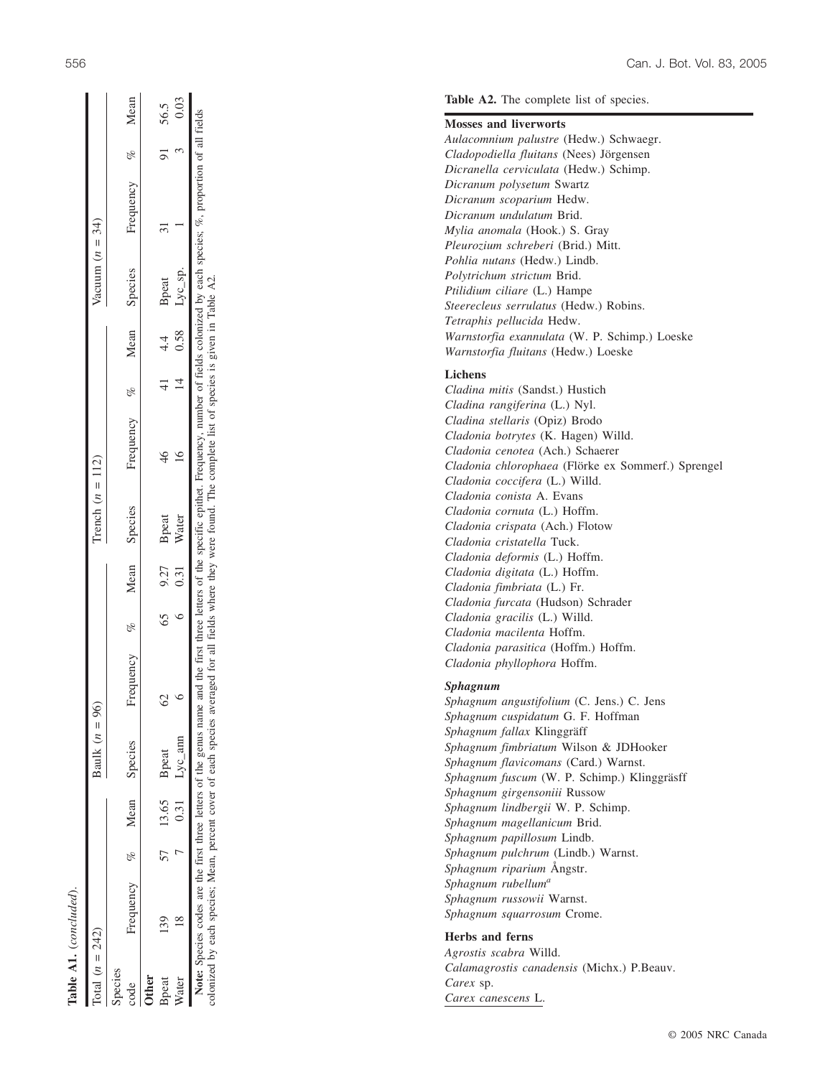|                   | <b>Table A1.</b> (concluded).                                                                                                                                                                                                                                                                                                                                                 |                |                        |                    |               |                    |                          |     |                   |                  |         |      |
|-------------------|-------------------------------------------------------------------------------------------------------------------------------------------------------------------------------------------------------------------------------------------------------------------------------------------------------------------------------------------------------------------------------|----------------|------------------------|--------------------|---------------|--------------------|--------------------------|-----|-------------------|------------------|---------|------|
| Total $(n = 242)$ |                                                                                                                                                                                                                                                                                                                                                                               |                | Baulk $(n = 96)$       |                    |               | Trench $(n = 112)$ |                          |     | Vacuum $(n = 34)$ |                  |         |      |
| Species<br>code   | Frequency % Mean Species                                                                                                                                                                                                                                                                                                                                                      |                |                        | requency $\%$<br>匞 |               | Mean Species       | Frequency % Mean Species |     |                   | Frequency % Mean |         |      |
| <b>Other</b>      |                                                                                                                                                                                                                                                                                                                                                                               |                |                        |                    |               |                    |                          |     |                   |                  |         |      |
| Bpeat             |                                                                                                                                                                                                                                                                                                                                                                               | 57 13.65 Bpeat |                        |                    | 65 9.27 Bpeat |                    | 46                       | 4.4 | Bpeat             |                  | 91 56.5 |      |
| Water             |                                                                                                                                                                                                                                                                                                                                                                               |                | $0.31 \qquad Lyc\_ann$ |                    | 0.31          | Water              |                          |     | $0.58$ Lyc_sp.    |                  |         | 0.03 |
|                   | Note: Species codes are the first three letters of the genus name and the first three letters of the specific epithet. Frequency, number of fields colonized by each species; %, proportion of all fields<br>colonized by each species; Mean, percent cover of each species averaged for all fields where they were found. The complete list of species is given in Table A2. |                |                        |                    |               |                    |                          |     |                   |                  |         |      |

Table A1. (concluded)

 $\overline{E}$ 5 .<br>50 Σ, ğξ  $\overline{a}$  $\overline{\mathbf{S}}$ ్  $\Xi$ ≍  $_{\rm{ney}}$ ⋣ ē лэк 2 cover species; Mean, percent each Σq colonized

### **Mosses and liverworts**

**Table A2.** The complete list of species.

*Aulacomnium palustre* (Hedw.) Schwaegr. *Cladopodiella fluitans* (Nees) Jörgensen *Dicranella cerviculata* (Hedw.) Schimp. *Dicranum polysetum* Swartz *Dicranum scoparium* Hedw. *Dicranum undulatum* Brid. *Mylia anomala* (Hook.) S. Gray *Pleurozium schreberi* (Brid.) Mitt. *Pohlia nutans* (Hedw.) Lindb. *Polytrichum strictum* Brid. *Ptilidium ciliare* (L.) Hampe *Steerecleus serrulatus* (Hedw.) Robins. *Tetraphis pellucida* Hedw. *Warnstorfia exannulata* (W. P. Schimp.) Loeske *Warnstorfia fluitans* (Hedw.) Loeske

### **Lichens**

*Cladina mitis* (Sandst.) Hustich *Cladina rangiferina* (L.) Nyl. *Cladina stellaris* (Opiz) Brodo *Cladonia botrytes* (K. Hagen) Willd. *Cladonia cenotea* (Ach.) Schaerer *Cladonia chlorophaea* (Flörke ex Sommerf.) Sprengel *Cladonia coccifera* (L.) Willd. *Cladonia conista* A. Evans *Cladonia cornuta* (L.) Hoffm. *Cladonia crispata* (Ach.) Flotow *Cladonia cristatella* Tuck. *Cladonia deformis* (L.) Hoffm. *Cladonia digitata* (L.) Hoffm. *Cladonia fimbriata* (L.) Fr. *Cladonia furcata* (Hudson) Schrader *Cladonia gracilis* (L.) Willd. *Cladonia macilenta* Hoffm. *Cladonia parasitica* (Hoffm.) Hoffm. *Cladonia phyllophora* Hoffm.

### *Sphagnum*

*Sphagnum angustifolium* (C. Jens.) C. Jens *Sphagnum cuspidatum* G. F. Hoffman *Sphagnum fallax* Klinggräff *Sphagnum fimbriatum* Wilson & JDHooker *Sphagnum flavicomans* (Card.) Warnst. *Sphagnum fuscum* (W. P. Schimp.) Klinggräsff *Sphagnum girgensoniii* Russow *Sphagnum lindbergii* W. P. Schimp. *Sphagnum magellanicum* Brid. *Sphagnum papillosum* Lindb. *Sphagnum pulchrum* (Lindb.) Warnst. *Sphagnum riparium* Ångstr. *Sphagnum rubellum a Sphagnum russowii* Warnst. *Sphagnum squarrosum* Crome.

### **Herbs and ferns**

*Agrostis scabra* Willd. *Calamagrostis canadensis* (Michx.) P.Beauv. *Carex* sp. *Carex canescens* L.